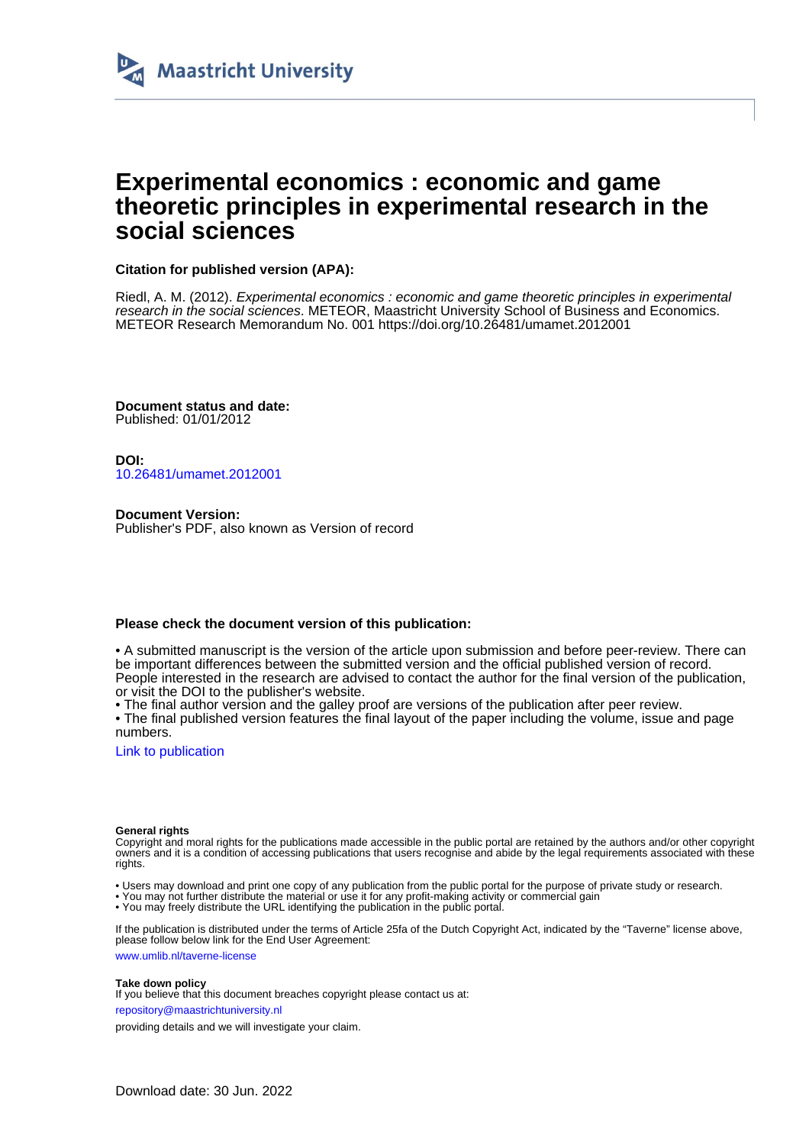

## **Experimental economics : economic and game theoretic principles in experimental research in the social sciences**

## **Citation for published version (APA):**

Riedl, A. M. (2012). Experimental economics : economic and game theoretic principles in experimental research in the social sciences. METEOR, Maastricht University School of Business and Economics. METEOR Research Memorandum No. 001<https://doi.org/10.26481/umamet.2012001>

**Document status and date:** Published: 01/01/2012

**DOI:** [10.26481/umamet.2012001](https://doi.org/10.26481/umamet.2012001)

**Document Version:** Publisher's PDF, also known as Version of record

#### **Please check the document version of this publication:**

• A submitted manuscript is the version of the article upon submission and before peer-review. There can be important differences between the submitted version and the official published version of record. People interested in the research are advised to contact the author for the final version of the publication, or visit the DOI to the publisher's website.

• The final author version and the galley proof are versions of the publication after peer review.

• The final published version features the final layout of the paper including the volume, issue and page numbers.

[Link to publication](https://cris.maastrichtuniversity.nl/en/publications/a54039a0-778a-4dd6-aea2-844c5d7de8a0)

#### **General rights**

Copyright and moral rights for the publications made accessible in the public portal are retained by the authors and/or other copyright owners and it is a condition of accessing publications that users recognise and abide by the legal requirements associated with these rights.

- Users may download and print one copy of any publication from the public portal for the purpose of private study or research.
- You may not further distribute the material or use it for any profit-making activity or commercial gain
- You may freely distribute the URL identifying the publication in the public portal.

If the publication is distributed under the terms of Article 25fa of the Dutch Copyright Act, indicated by the "Taverne" license above, please follow below link for the End User Agreement:

www.umlib.nl/taverne-license

#### **Take down policy**

If you believe that this document breaches copyright please contact us at: repository@maastrichtuniversity.nl

providing details and we will investigate your claim.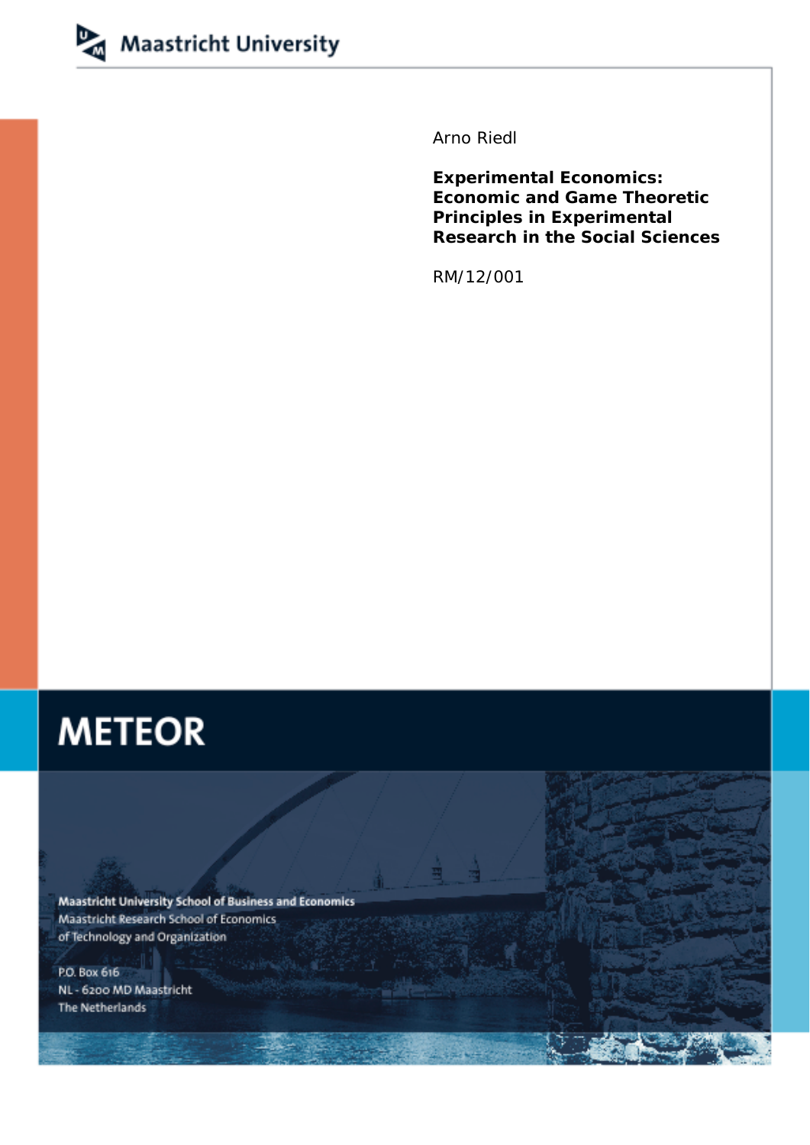

Arno Riedl

**Experimental Economics: Economic and Game Theoretic Principles in Experimental Research in the Social Sciences** 

RM/12/001

# **METEOR**

**Maastricht University School of Business and Economics** Maastricht Research School of Economics of Technology and Organization

P.O. Box 616 NL - 6200 MD Maastricht The Netherlands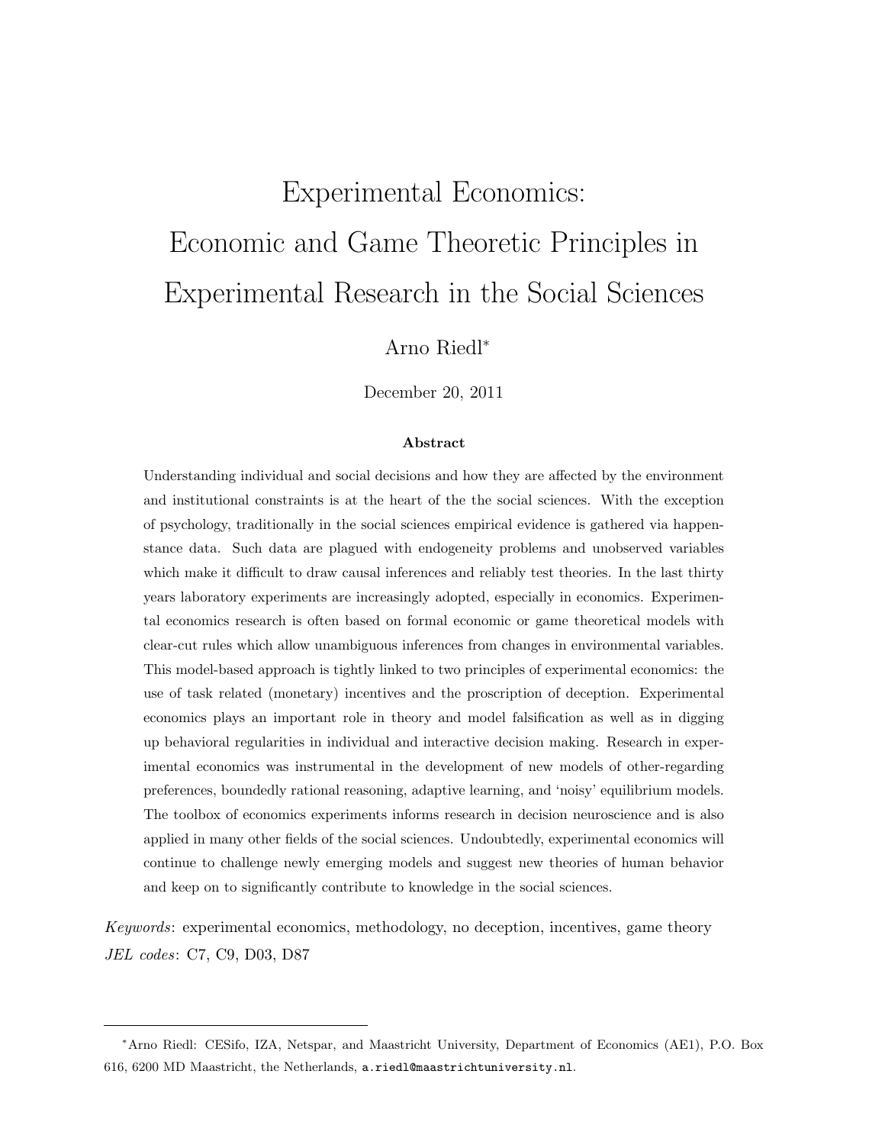# Experimental Economics: Economic and Game Theoretic Principles in Experimental Research in the Social Sciences

Arno Riedl<sup>∗</sup>

December 20, 2011

#### Abstract

Understanding individual and social decisions and how they are affected by the environment and institutional constraints is at the heart of the the social sciences. With the exception of psychology, traditionally in the social sciences empirical evidence is gathered via happenstance data. Such data are plagued with endogeneity problems and unobserved variables which make it difficult to draw causal inferences and reliably test theories. In the last thirty years laboratory experiments are increasingly adopted, especially in economics. Experimental economics research is often based on formal economic or game theoretical models with clear-cut rules which allow unambiguous inferences from changes in environmental variables. This model-based approach is tightly linked to two principles of experimental economics: the use of task related (monetary) incentives and the proscription of deception. Experimental economics plays an important role in theory and model falsification as well as in digging up behavioral regularities in individual and interactive decision making. Research in experimental economics was instrumental in the development of new models of other-regarding preferences, boundedly rational reasoning, adaptive learning, and 'noisy' equilibrium models. The toolbox of economics experiments informs research in decision neuroscience and is also applied in many other fields of the social sciences. Undoubtedly, experimental economics will continue to challenge newly emerging models and suggest new theories of human behavior and keep on to significantly contribute to knowledge in the social sciences.

*Keywords*: experimental economics, methodology, no deception, incentives, game theory *JEL codes*: C7, C9, D03, D87

<sup>∗</sup>Arno Riedl: CESifo, IZA, Netspar, and Maastricht University, Department of Economics (AE1), P.O. Box 616, 6200 MD Maastricht, the Netherlands, a.riedl@maastrichtuniversity.nl.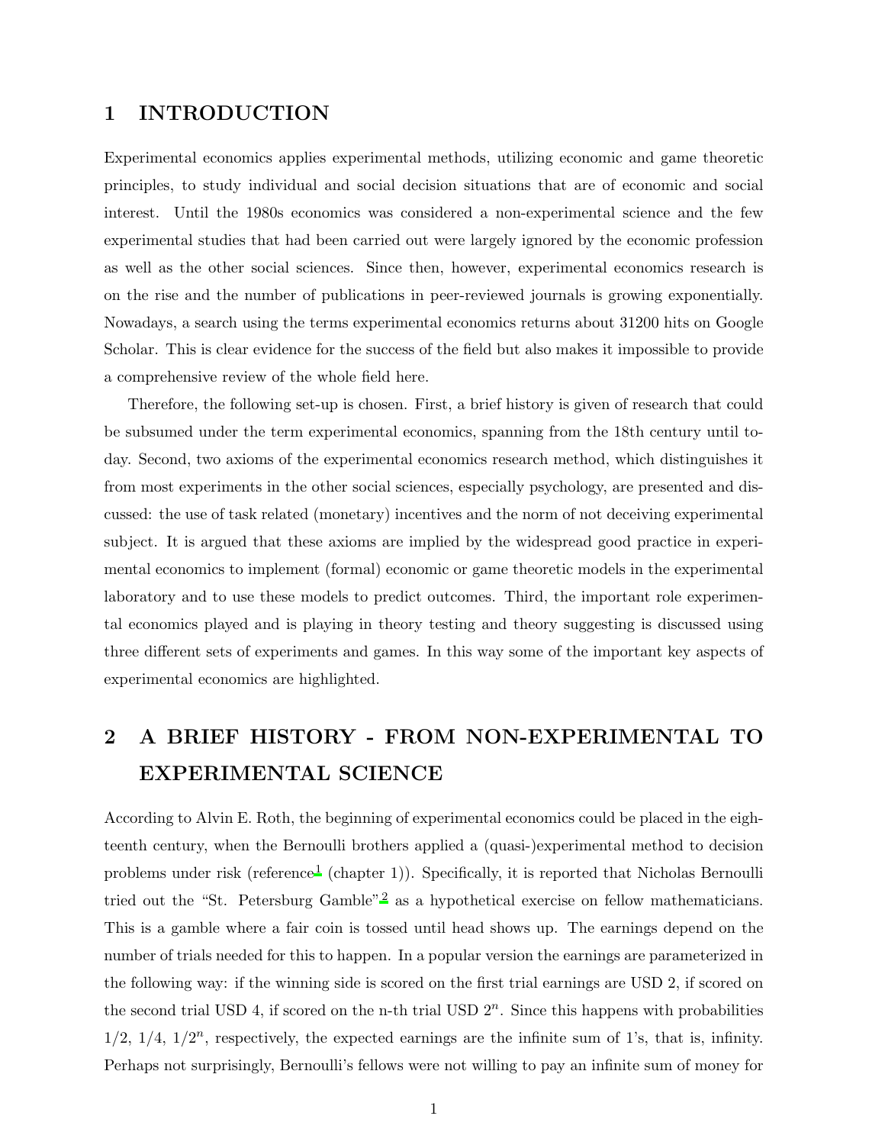## 1 INTRODUCTION

Experimental economics applies experimental methods, utilizing economic and game theoretic principles, to study individual and social decision situations that are of economic and social interest. Until the 1980s economics was considered a non-experimental science and the few experimental studies that had been carried out were largely ignored by the economic profession as well as the other social sciences. Since then, however, experimental economics research is on the rise and the number of publications in peer-reviewed journals is growing exponentially. Nowadays, a search using the terms experimental economics returns about 31200 hits on Google Scholar. This is clear evidence for the success of the field but also makes it impossible to provide a comprehensive review of the whole field here.

Therefore, the following set-up is chosen. First, a brief history is given of research that could be subsumed under the term experimental economics, spanning from the 18th century until today. Second, two axioms of the experimental economics research method, which distinguishes it from most experiments in the other social sciences, especially psychology, are presented and discussed: the use of task related (monetary) incentives and the norm of not deceiving experimental subject. It is argued that these axioms are implied by the widespread good practice in experimental economics to implement (formal) economic or game theoretic models in the experimental laboratory and to use these models to predict outcomes. Third, the important role experimental economics played and is playing in theory testing and theory suggesting is discussed using three different sets of experiments and games. In this way some of the important key aspects of experimental economics are highlighted.

# 2 A BRIEF HISTORY - FROM NON-EXPERIMENTAL TO EXPERIMENTAL SCIENCE

According to Alvin E. Roth, the beginning of experimental economics could be placed in the eighteenth century, when the Bernoulli brothers applied a (quasi-)experimental method to decision problems under risk (reference<sup>[1](#page-18-0)</sup> (chapter 1)). Specifically, it is reported that Nicholas Bernoulli tried out the "St. Petersburg Gamble"<sup>[2](#page-18-1)</sup> as a hypothetical exercise on fellow mathematicians. This is a gamble where a fair coin is tossed until head shows up. The earnings depend on the number of trials needed for this to happen. In a popular version the earnings are parameterized in the following way: if the winning side is scored on the first trial earnings are USD 2, if scored on the second trial USD 4, if scored on the n-th trial USD  $2^n$ . Since this happens with probabilities  $1/2$ ,  $1/4$ ,  $1/2<sup>n</sup>$ , respectively, the expected earnings are the infinite sum of 1's, that is, infinity. Perhaps not surprisingly, Bernoulli's fellows were not willing to pay an infinite sum of money for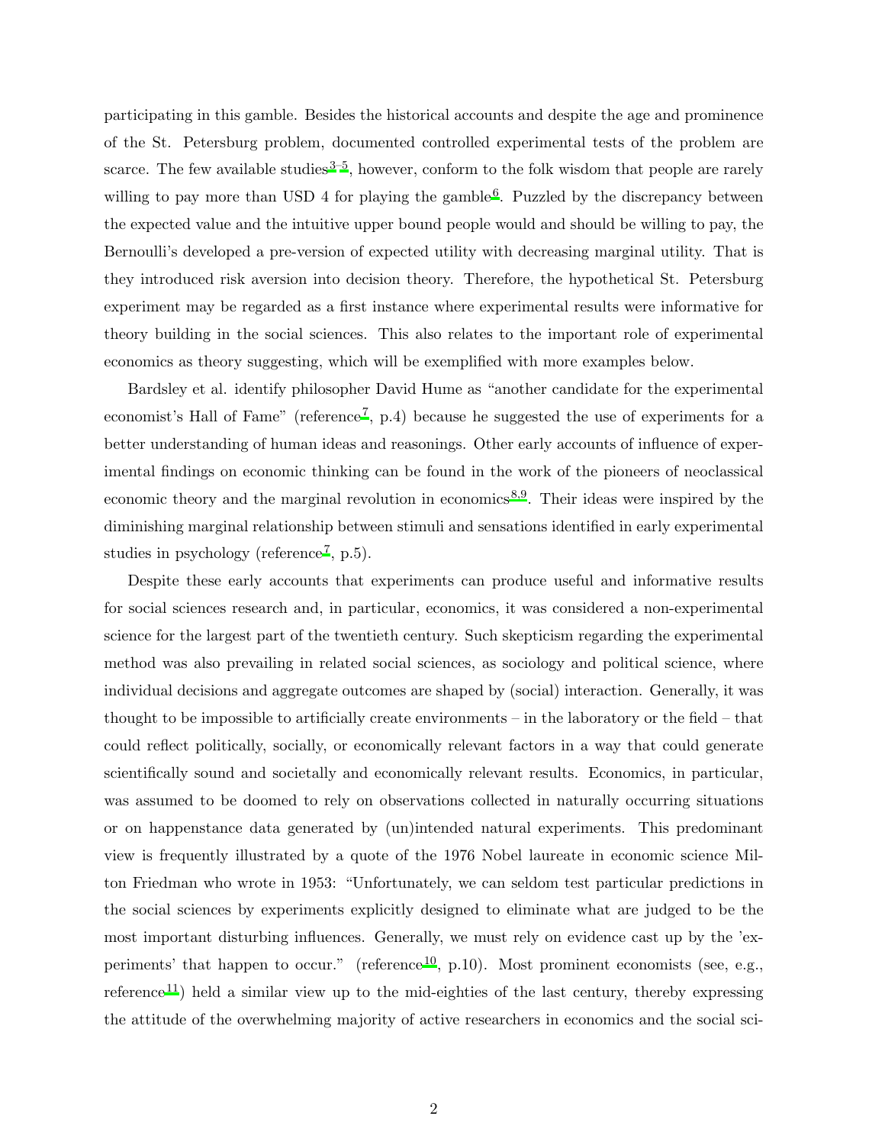participating in this gamble. Besides the historical accounts and despite the age and prominence of the St. Petersburg problem, documented controlled experimental tests of the problem are scarce. The few available studies<sup>[3](#page-18-2)[–5](#page-18-3)</sup>, however, conform to the folk wisdom that people are rarely willing to pay more than USD 4 for playing the gamble<sup>[6](#page-18-4)</sup>. Puzzled by the discrepancy between the expected value and the intuitive upper bound people would and should be willing to pay, the Bernoulli's developed a pre-version of expected utility with decreasing marginal utility. That is they introduced risk aversion into decision theory. Therefore, the hypothetical St. Petersburg experiment may be regarded as a first instance where experimental results were informative for theory building in the social sciences. This also relates to the important role of experimental economics as theory suggesting, which will be exemplified with more examples below.

Bardsley et al. identify philosopher David Hume as "another candidate for the experimental economist's Hall of Fame" (reference<sup>[7](#page-18-5)</sup>, p.4) because he suggested the use of experiments for a better understanding of human ideas and reasonings. Other early accounts of influence of experimental findings on economic thinking can be found in the work of the pioneers of neoclassical economic theory and the marginal revolution in economics<sup>[8](#page-18-6)[,9](#page-18-7)</sup>. Their ideas were inspired by the diminishing marginal relationship between stimuli and sensations identified in early experimental studies in psychology (reference<sup>[7](#page-18-5)</sup>, p.5).

Despite these early accounts that experiments can produce useful and informative results for social sciences research and, in particular, economics, it was considered a non-experimental science for the largest part of the twentieth century. Such skepticism regarding the experimental method was also prevailing in related social sciences, as sociology and political science, where individual decisions and aggregate outcomes are shaped by (social) interaction. Generally, it was thought to be impossible to artificially create environments – in the laboratory or the field – that could reflect politically, socially, or economically relevant factors in a way that could generate scientifically sound and societally and economically relevant results. Economics, in particular, was assumed to be doomed to rely on observations collected in naturally occurring situations or on happenstance data generated by (un)intended natural experiments. This predominant view is frequently illustrated by a quote of the 1976 Nobel laureate in economic science Milton Friedman who wrote in 1953: "Unfortunately, we can seldom test particular predictions in the social sciences by experiments explicitly designed to eliminate what are judged to be the most important disturbing influences. Generally, we must rely on evidence cast up by the 'ex-periments' that happen to occur." (reference<sup>[10](#page-18-8)</sup>, p.10). Most prominent economists (see, e.g., reference<sup>[11](#page-19-0)</sup>) held a similar view up to the mid-eighties of the last century, thereby expressing the attitude of the overwhelming majority of active researchers in economics and the social sci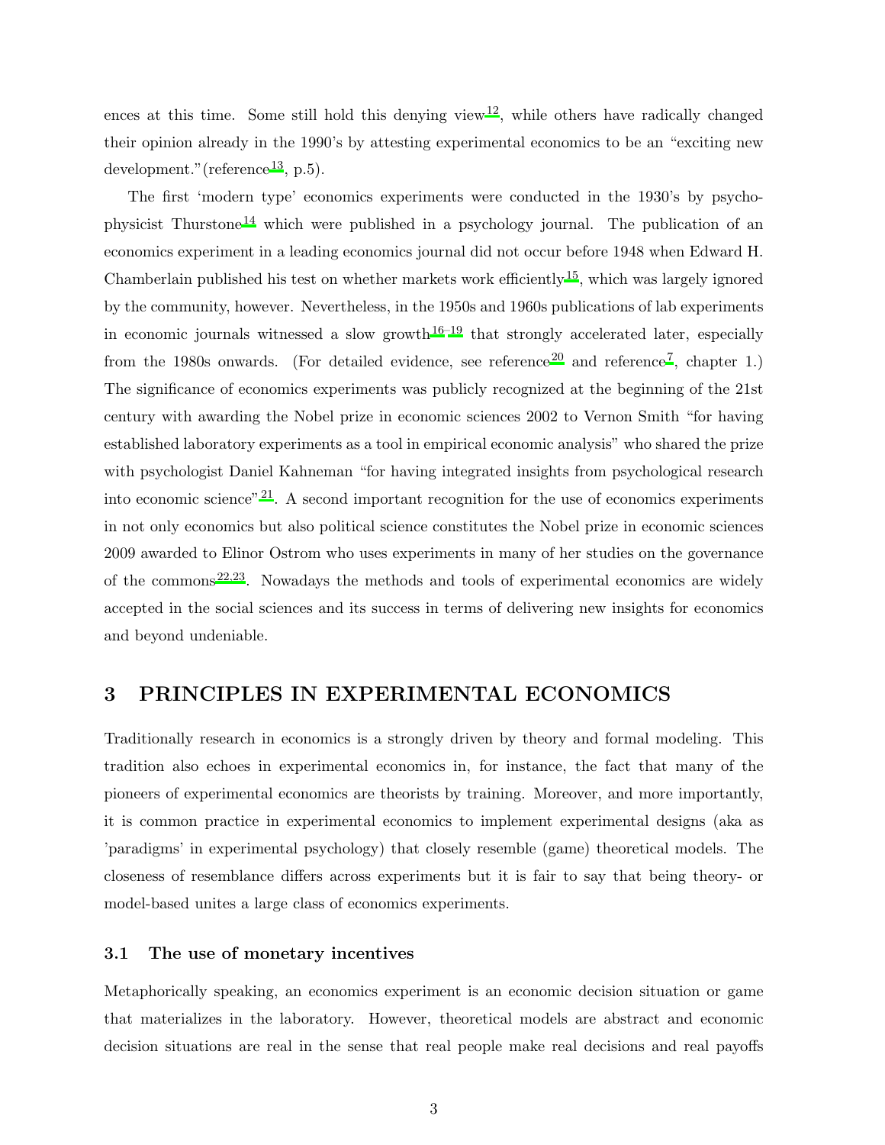ences at this time. Some still hold this denying view<sup>[12](#page-19-1)</sup>, while others have radically changed their opinion already in the 1990's by attesting experimental economics to be an "exciting new development." (reference  $^{13}$  $^{13}$  $^{13}$ , p.5).

The first 'modern type' economics experiments were conducted in the 1930's by psycho-physicist Thurstone<sup>[14](#page-19-3)</sup> which were published in a psychology journal. The publication of an economics experiment in a leading economics journal did not occur before 1948 when Edward H. Chamberlain published his test on whether markets work efficiently<sup>[15](#page-19-4)</sup>, which was largely ignored by the community, however. Nevertheless, in the 1950s and 1960s publications of lab experiments in economic journals witnessed a slow growth<sup>[16](#page-19-5)[–19](#page-19-6)</sup> that strongly accelerated later, especially from the 1980s onwards. (For detailed evidence, see reference<sup>[20](#page-19-7)</sup> and reference<sup>[7](#page-18-5)</sup>, chapter 1.) The significance of economics experiments was publicly recognized at the beginning of the 21st century with awarding the Nobel prize in economic sciences 2002 to Vernon Smith "for having established laboratory experiments as a tool in empirical economic analysis" who shared the prize with psychologist Daniel Kahneman "for having integrated insights from psychological research into economic science"<sup>[21](#page-19-8)</sup>. A second important recognition for the use of economics experiments in not only economics but also political science constitutes the Nobel prize in economic sciences 2009 awarded to Elinor Ostrom who uses experiments in many of her studies on the governance of the commons<sup>[22](#page-19-9)[,23](#page-19-10)</sup>. Nowadays the methods and tools of experimental economics are widely accepted in the social sciences and its success in terms of delivering new insights for economics and beyond undeniable.

## 3 PRINCIPLES IN EXPERIMENTAL ECONOMICS

Traditionally research in economics is a strongly driven by theory and formal modeling. This tradition also echoes in experimental economics in, for instance, the fact that many of the pioneers of experimental economics are theorists by training. Moreover, and more importantly, it is common practice in experimental economics to implement experimental designs (aka as 'paradigms' in experimental psychology) that closely resemble (game) theoretical models. The closeness of resemblance differs across experiments but it is fair to say that being theory- or model-based unites a large class of economics experiments.

## 3.1 The use of monetary incentives

Metaphorically speaking, an economics experiment is an economic decision situation or game that materializes in the laboratory. However, theoretical models are abstract and economic decision situations are real in the sense that real people make real decisions and real payoffs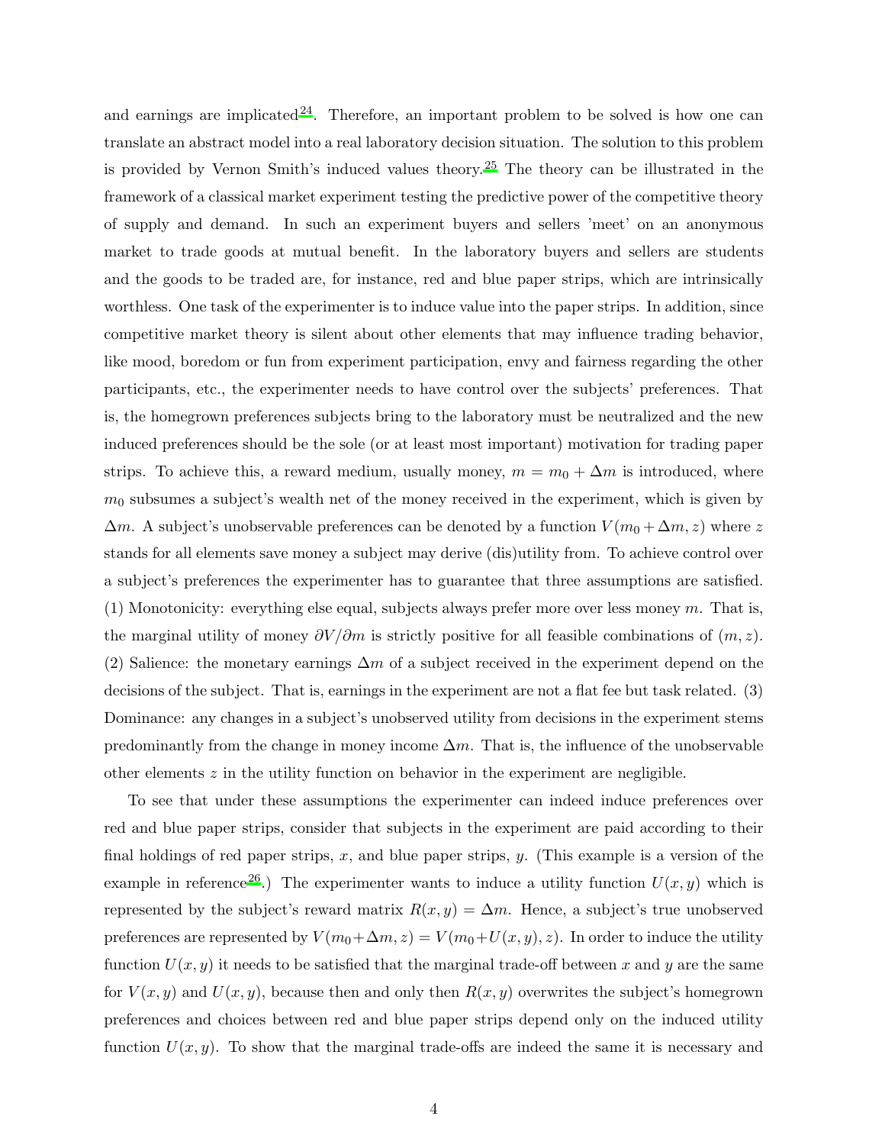and earnings are implicated  $24$ . Therefore, an important problem to be solved is how one can translate an abstract model into a real laboratory decision situation. The solution to this problem is provided by Vernon Smith's induced values theory.[25](#page-19-12) The theory can be illustrated in the framework of a classical market experiment testing the predictive power of the competitive theory of supply and demand. In such an experiment buyers and sellers 'meet' on an anonymous market to trade goods at mutual benefit. In the laboratory buyers and sellers are students and the goods to be traded are, for instance, red and blue paper strips, which are intrinsically worthless. One task of the experimenter is to induce value into the paper strips. In addition, since competitive market theory is silent about other elements that may influence trading behavior, like mood, boredom or fun from experiment participation, envy and fairness regarding the other participants, etc., the experimenter needs to have control over the subjects' preferences. That is, the homegrown preferences subjects bring to the laboratory must be neutralized and the new induced preferences should be the sole (or at least most important) motivation for trading paper strips. To achieve this, a reward medium, usually money,  $m = m_0 + \Delta m$  is introduced, where  $m_0$  subsumes a subject's wealth net of the money received in the experiment, which is given by  $\Delta m$ . A subject's unobservable preferences can be denoted by a function  $V(m_0 + \Delta m, z)$  where z stands for all elements save money a subject may derive (dis)utility from. To achieve control over a subject's preferences the experimenter has to guarantee that three assumptions are satisfied. (1) Monotonicity: everything else equal, subjects always prefer more over less money  $m$ . That is, the marginal utility of money  $\partial V/\partial m$  is strictly positive for all feasible combinations of  $(m, z)$ . (2) Salience: the monetary earnings  $\Delta m$  of a subject received in the experiment depend on the decisions of the subject. That is, earnings in the experiment are not a flat fee but task related. (3) Dominance: any changes in a subject's unobserved utility from decisions in the experiment stems predominantly from the change in money income  $\Delta m$ . That is, the influence of the unobservable other elements  $z$  in the utility function on behavior in the experiment are negligible.

To see that under these assumptions the experimenter can indeed induce preferences over red and blue paper strips, consider that subjects in the experiment are paid according to their final holdings of red paper strips, x, and blue paper strips, y. (This example is a version of the example in reference<sup>[26](#page-20-0)</sup>.) The experimenter wants to induce a utility function  $U(x, y)$  which is represented by the subject's reward matrix  $R(x, y) = \Delta m$ . Hence, a subject's true unobserved preferences are represented by  $V(m_0 + \Delta m, z) = V(m_0 + U(x, y), z)$ . In order to induce the utility function  $U(x, y)$  it needs to be satisfied that the marginal trade-off between x and y are the same for  $V(x, y)$  and  $U(x, y)$ , because then and only then  $R(x, y)$  overwrites the subject's homegrown preferences and choices between red and blue paper strips depend only on the induced utility function  $U(x, y)$ . To show that the marginal trade-offs are indeed the same it is necessary and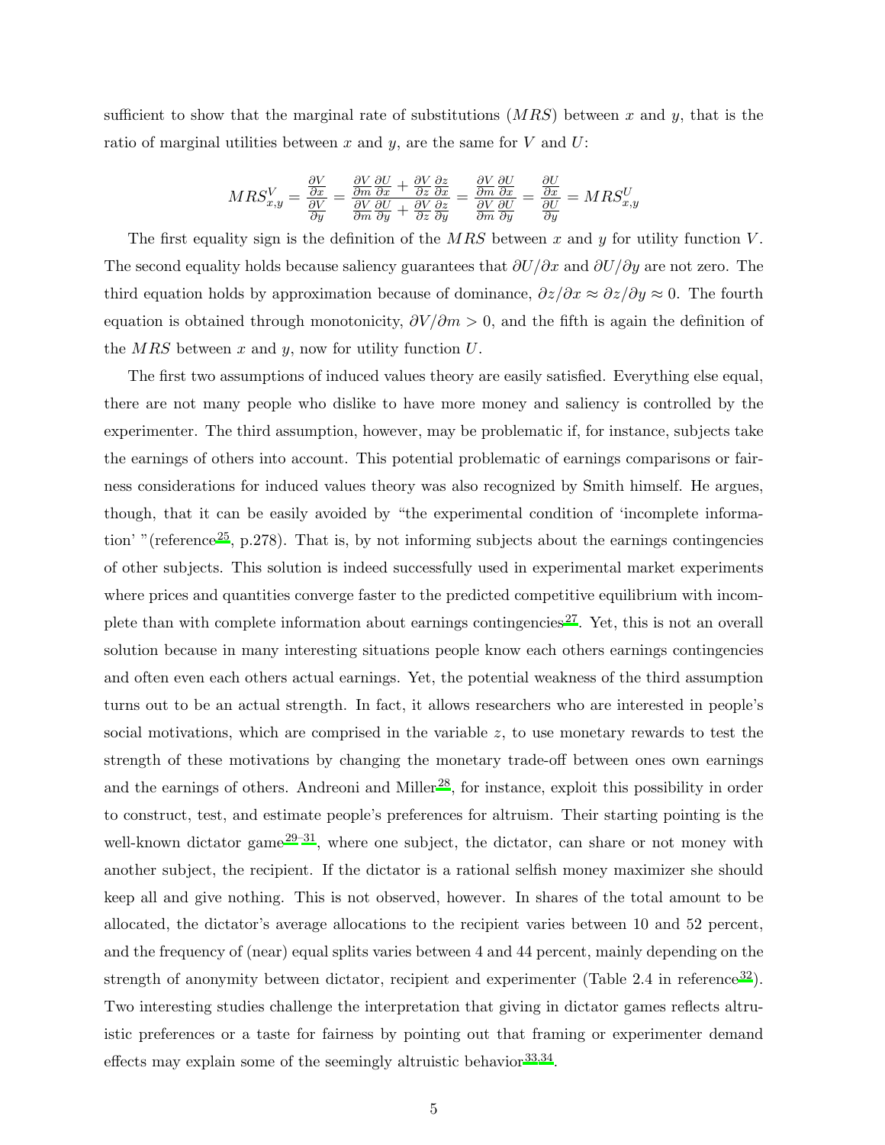sufficient to show that the marginal rate of substitutions  $(MRS)$  between x and y, that is the ratio of marginal utilities between  $x$  and  $y$ , are the same for  $V$  and  $U$ :

$$
MRS_{x,y}^V = \frac{\frac{\partial V}{\partial x}}{\frac{\partial V}{\partial y}} = \frac{\frac{\partial V}{\partial m} \frac{\partial U}{\partial x} + \frac{\partial V}{\partial z} \frac{\partial z}{\partial x}}{\frac{\partial V}{\partial m} \frac{\partial U}{\partial y} + \frac{\partial V}{\partial z} \frac{\partial z}{\partial y}} = \frac{\frac{\partial V}{\partial m} \frac{\partial U}{\partial x}}{\frac{\partial V}{\partial m} \frac{\partial U}{\partial y}} = \frac{\frac{\partial U}{\partial x}}{\frac{\partial U}{\partial y}} = MRS_{x,y}^U
$$

The first equality sign is the definition of the MRS between x and y for utility function V. The second equality holds because saliency guarantees that  $\partial U/\partial x$  and  $\partial U/\partial y$  are not zero. The third equation holds by approximation because of dominance,  $\partial z/\partial x \approx \partial z/\partial y \approx 0$ . The fourth equation is obtained through monotonicity,  $\partial V/\partial m > 0$ , and the fifth is again the definition of the  $MRS$  between x and y, now for utility function U.

The first two assumptions of induced values theory are easily satisfied. Everything else equal, there are not many people who dislike to have more money and saliency is controlled by the experimenter. The third assumption, however, may be problematic if, for instance, subjects take the earnings of others into account. This potential problematic of earnings comparisons or fairness considerations for induced values theory was also recognized by Smith himself. He argues, though, that it can be easily avoided by "the experimental condition of 'incomplete informa-tion' "(reference<sup>[25](#page-19-12)</sup>, p.278). That is, by not informing subjects about the earnings contingencies of other subjects. This solution is indeed successfully used in experimental market experiments where prices and quantities converge faster to the predicted competitive equilibrium with incom-plete than with complete information about earnings contingencies<sup>[27](#page-20-1)</sup>. Yet, this is not an overall solution because in many interesting situations people know each others earnings contingencies and often even each others actual earnings. Yet, the potential weakness of the third assumption turns out to be an actual strength. In fact, it allows researchers who are interested in people's social motivations, which are comprised in the variable  $z$ , to use monetary rewards to test the strength of these motivations by changing the monetary trade-off between ones own earnings and the earnings of others. Andreoni and Miller<sup>[28](#page-20-2)</sup>, for instance, exploit this possibility in order to construct, test, and estimate people's preferences for altruism. Their starting pointing is the well-known dictator game<sup>[29](#page-20-3)-31</sup>, where one subject, the dictator, can share or not money with another subject, the recipient. If the dictator is a rational selfish money maximizer she should keep all and give nothing. This is not observed, however. In shares of the total amount to be allocated, the dictator's average allocations to the recipient varies between 10 and 52 percent, and the frequency of (near) equal splits varies between 4 and 44 percent, mainly depending on the strength of anonymity between dictator, recipient and experimenter (Table 2.4 in reference  $32$ ). Two interesting studies challenge the interpretation that giving in dictator games reflects altruistic preferences or a taste for fairness by pointing out that framing or experimenter demand effects may explain some of the seemingly altruistic behavior  $33,34$  $33,34$ .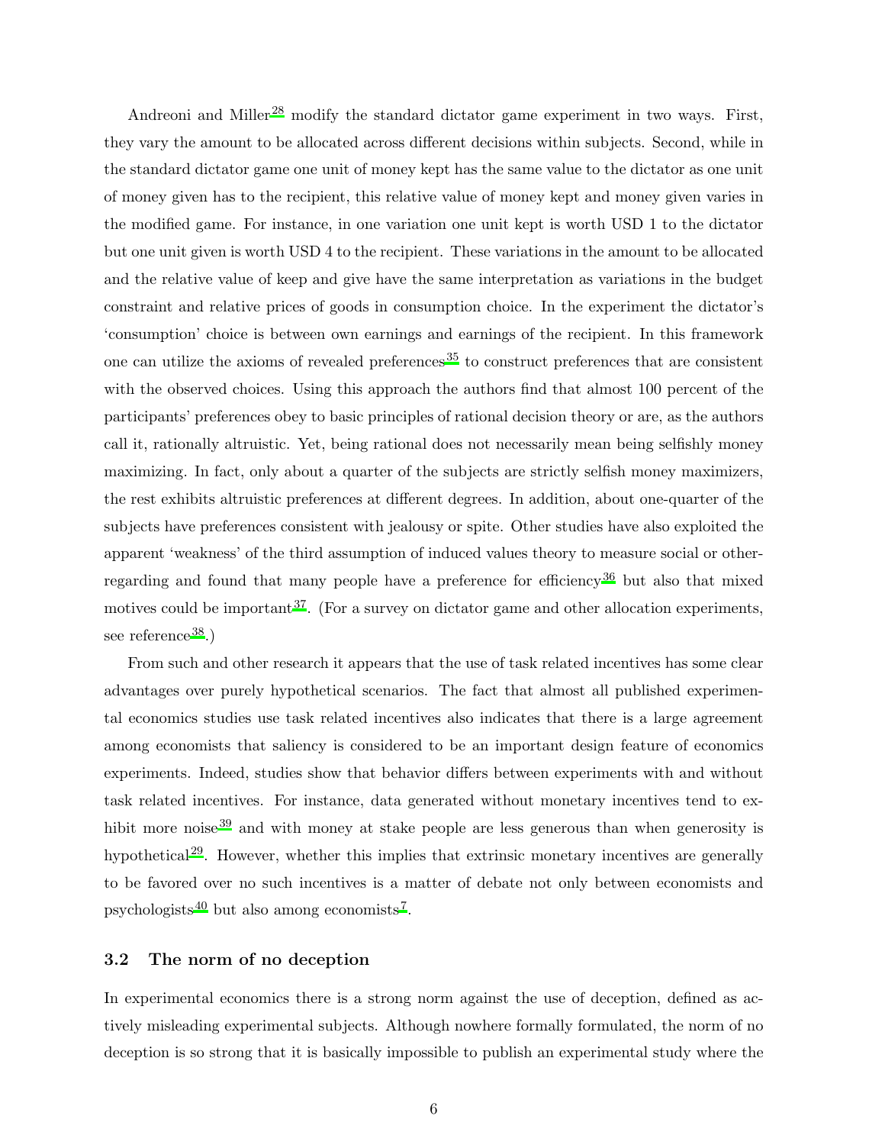Andreoni and Miller<sup>[28](#page-20-2)</sup> modify the standard dictator game experiment in two ways. First, they vary the amount to be allocated across different decisions within subjects. Second, while in the standard dictator game one unit of money kept has the same value to the dictator as one unit of money given has to the recipient, this relative value of money kept and money given varies in the modified game. For instance, in one variation one unit kept is worth USD 1 to the dictator but one unit given is worth USD 4 to the recipient. These variations in the amount to be allocated and the relative value of keep and give have the same interpretation as variations in the budget constraint and relative prices of goods in consumption choice. In the experiment the dictator's 'consumption' choice is between own earnings and earnings of the recipient. In this framework one can utilize the axioms of revealed preferences<sup>[35](#page-20-8)</sup> to construct preferences that are consistent with the observed choices. Using this approach the authors find that almost 100 percent of the participants' preferences obey to basic principles of rational decision theory or are, as the authors call it, rationally altruistic. Yet, being rational does not necessarily mean being selfishly money maximizing. In fact, only about a quarter of the subjects are strictly selfish money maximizers, the rest exhibits altruistic preferences at different degrees. In addition, about one-quarter of the subjects have preferences consistent with jealousy or spite. Other studies have also exploited the apparent 'weakness' of the third assumption of induced values theory to measure social or other-regarding and found that many people have a preference for efficiency<sup>[36](#page-20-9)</sup> but also that mixed motives could be important  $37$ . (For a survey on dictator game and other allocation experiments, see reference  $38$ .)

From such and other research it appears that the use of task related incentives has some clear advantages over purely hypothetical scenarios. The fact that almost all published experimental economics studies use task related incentives also indicates that there is a large agreement among economists that saliency is considered to be an important design feature of economics experiments. Indeed, studies show that behavior differs between experiments with and without task related incentives. For instance, data generated without monetary incentives tend to ex-hibit more noise<sup>[39](#page-20-12)</sup> and with money at stake people are less generous than when generosity is hypothetical<sup>[29](#page-20-3)</sup>. However, whether this implies that extrinsic monetary incentives are generally to be favored over no such incentives is a matter of debate not only between economists and psychologists<sup>[40](#page-21-0)</sup> but also among economists<sup>[7](#page-18-5)</sup>.

## 3.2 The norm of no deception

In experimental economics there is a strong norm against the use of deception, defined as actively misleading experimental subjects. Although nowhere formally formulated, the norm of no deception is so strong that it is basically impossible to publish an experimental study where the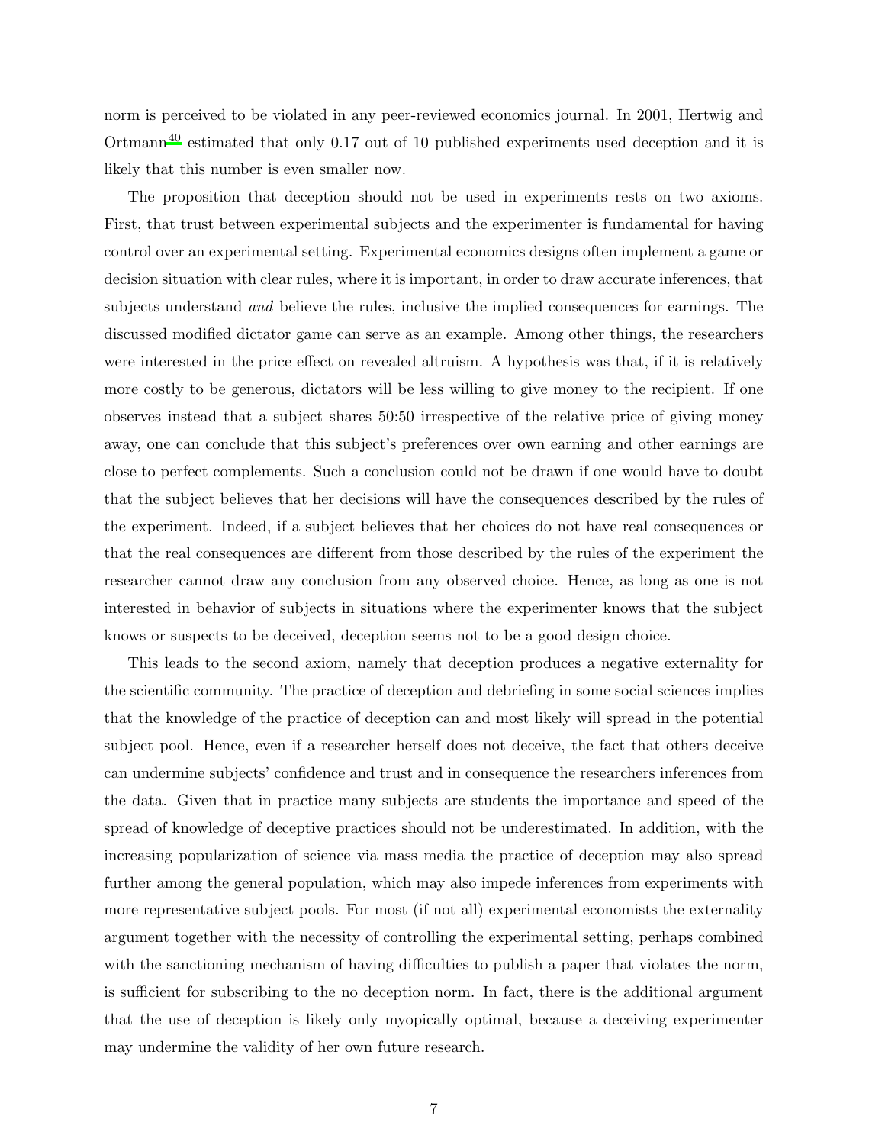norm is perceived to be violated in any peer-reviewed economics journal. In 2001, Hertwig and Ortmann[40](#page-21-0) estimated that only 0.17 out of 10 published experiments used deception and it is likely that this number is even smaller now.

The proposition that deception should not be used in experiments rests on two axioms. First, that trust between experimental subjects and the experimenter is fundamental for having control over an experimental setting. Experimental economics designs often implement a game or decision situation with clear rules, where it is important, in order to draw accurate inferences, that subjects understand *and* believe the rules, inclusive the implied consequences for earnings. The discussed modified dictator game can serve as an example. Among other things, the researchers were interested in the price effect on revealed altruism. A hypothesis was that, if it is relatively more costly to be generous, dictators will be less willing to give money to the recipient. If one observes instead that a subject shares 50:50 irrespective of the relative price of giving money away, one can conclude that this subject's preferences over own earning and other earnings are close to perfect complements. Such a conclusion could not be drawn if one would have to doubt that the subject believes that her decisions will have the consequences described by the rules of the experiment. Indeed, if a subject believes that her choices do not have real consequences or that the real consequences are different from those described by the rules of the experiment the researcher cannot draw any conclusion from any observed choice. Hence, as long as one is not interested in behavior of subjects in situations where the experimenter knows that the subject knows or suspects to be deceived, deception seems not to be a good design choice.

This leads to the second axiom, namely that deception produces a negative externality for the scientific community. The practice of deception and debriefing in some social sciences implies that the knowledge of the practice of deception can and most likely will spread in the potential subject pool. Hence, even if a researcher herself does not deceive, the fact that others deceive can undermine subjects' confidence and trust and in consequence the researchers inferences from the data. Given that in practice many subjects are students the importance and speed of the spread of knowledge of deceptive practices should not be underestimated. In addition, with the increasing popularization of science via mass media the practice of deception may also spread further among the general population, which may also impede inferences from experiments with more representative subject pools. For most (if not all) experimental economists the externality argument together with the necessity of controlling the experimental setting, perhaps combined with the sanctioning mechanism of having difficulties to publish a paper that violates the norm, is sufficient for subscribing to the no deception norm. In fact, there is the additional argument that the use of deception is likely only myopically optimal, because a deceiving experimenter may undermine the validity of her own future research.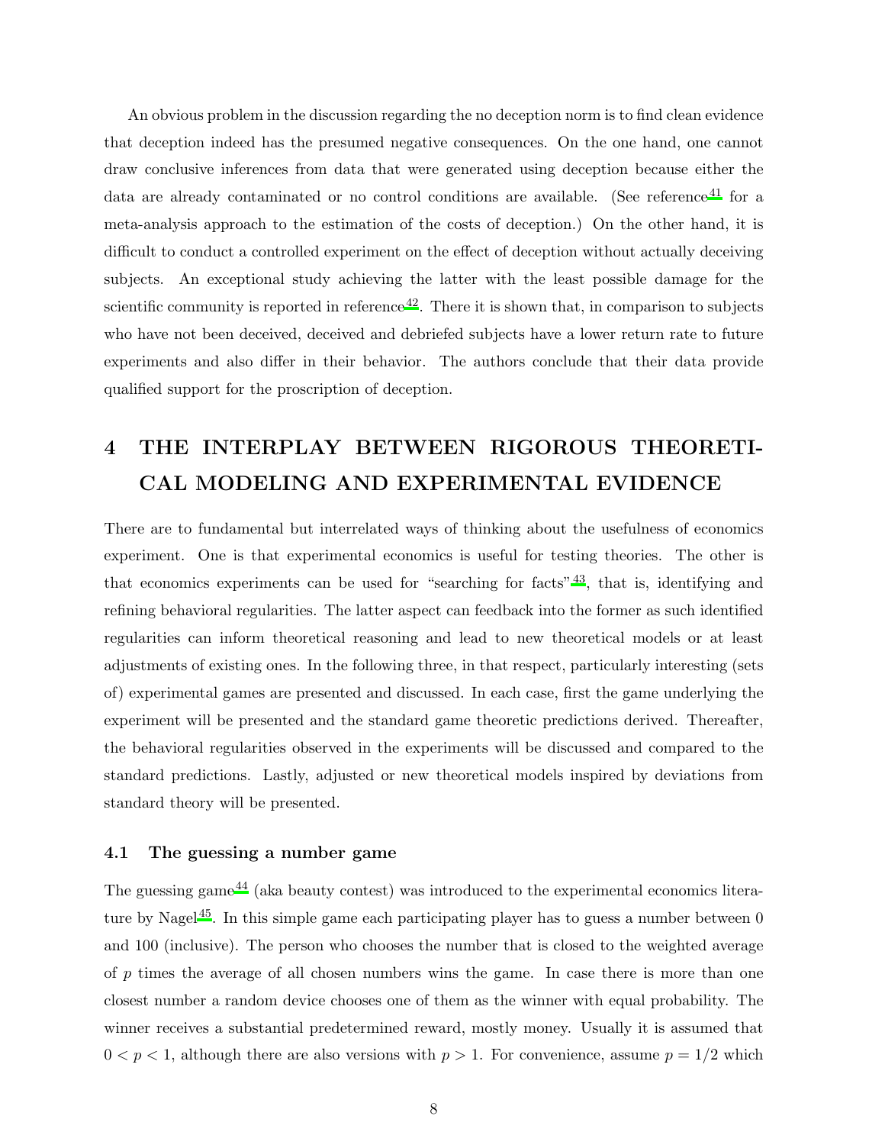An obvious problem in the discussion regarding the no deception norm is to find clean evidence that deception indeed has the presumed negative consequences. On the one hand, one cannot draw conclusive inferences from data that were generated using deception because either the data are already contaminated or no control conditions are available. (See reference<sup>[41](#page-21-1)</sup> for a meta-analysis approach to the estimation of the costs of deception.) On the other hand, it is difficult to conduct a controlled experiment on the effect of deception without actually deceiving subjects. An exceptional study achieving the latter with the least possible damage for the scientific community is reported in reference<sup>[42](#page-21-2)</sup>. There it is shown that, in comparison to subjects who have not been deceived, deceived and debriefed subjects have a lower return rate to future experiments and also differ in their behavior. The authors conclude that their data provide qualified support for the proscription of deception.

# 4 THE INTERPLAY BETWEEN RIGOROUS THEORETI-CAL MODELING AND EXPERIMENTAL EVIDENCE

There are to fundamental but interrelated ways of thinking about the usefulness of economics experiment. One is that experimental economics is useful for testing theories. The other is that economics experiments can be used for "searching for facts"  $43$ , that is, identifying and refining behavioral regularities. The latter aspect can feedback into the former as such identified regularities can inform theoretical reasoning and lead to new theoretical models or at least adjustments of existing ones. In the following three, in that respect, particularly interesting (sets of) experimental games are presented and discussed. In each case, first the game underlying the experiment will be presented and the standard game theoretic predictions derived. Thereafter, the behavioral regularities observed in the experiments will be discussed and compared to the standard predictions. Lastly, adjusted or new theoretical models inspired by deviations from standard theory will be presented.

## 4.1 The guessing a number game

The guessing game<sup>[44](#page-21-4)</sup> (aka beauty contest) was introduced to the experimental economics litera-ture by Nagel<sup>[45](#page-21-5)</sup>. In this simple game each participating player has to guess a number between 0 and 100 (inclusive). The person who chooses the number that is closed to the weighted average of p times the average of all chosen numbers wins the game. In case there is more than one closest number a random device chooses one of them as the winner with equal probability. The winner receives a substantial predetermined reward, mostly money. Usually it is assumed that  $0 < p < 1$ , although there are also versions with  $p > 1$ . For convenience, assume  $p = 1/2$  which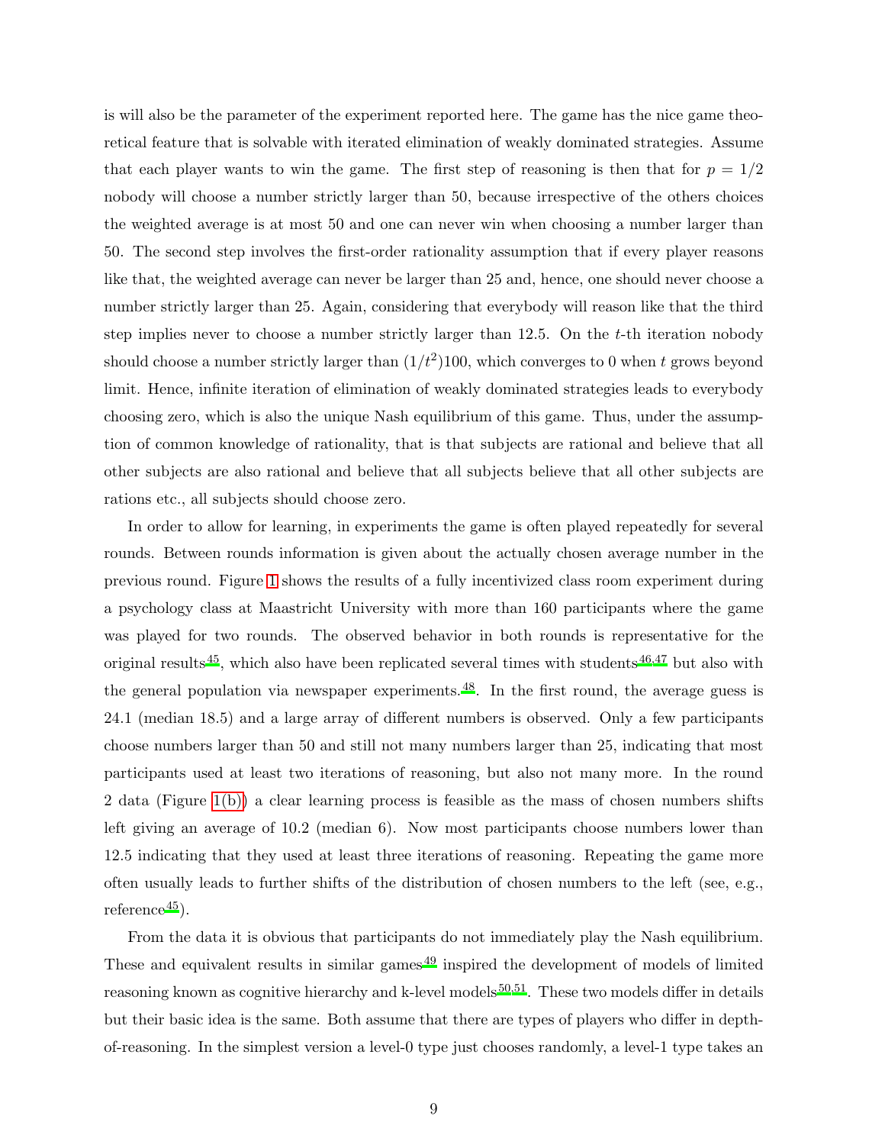is will also be the parameter of the experiment reported here. The game has the nice game theoretical feature that is solvable with iterated elimination of weakly dominated strategies. Assume that each player wants to win the game. The first step of reasoning is then that for  $p = 1/2$ nobody will choose a number strictly larger than 50, because irrespective of the others choices the weighted average is at most 50 and one can never win when choosing a number larger than 50. The second step involves the first-order rationality assumption that if every player reasons like that, the weighted average can never be larger than 25 and, hence, one should never choose a number strictly larger than 25. Again, considering that everybody will reason like that the third step implies never to choose a number strictly larger than 12.5. On the t-th iteration nobody should choose a number strictly larger than  $(1/t^2)100$ , which converges to 0 when t grows beyond limit. Hence, infinite iteration of elimination of weakly dominated strategies leads to everybody choosing zero, which is also the unique Nash equilibrium of this game. Thus, under the assumption of common knowledge of rationality, that is that subjects are rational and believe that all other subjects are also rational and believe that all subjects believe that all other subjects are rations etc., all subjects should choose zero.

In order to allow for learning, in experiments the game is often played repeatedly for several rounds. Between rounds information is given about the actually chosen average number in the previous round. Figure [1](#page-12-0) shows the results of a fully incentivized class room experiment during a psychology class at Maastricht University with more than 160 participants where the game was played for two rounds. The observed behavior in both rounds is representative for the original results<sup>[45](#page-21-5)</sup>, which also have been replicated several times with students<sup>[46](#page-21-6)[,47](#page-21-7)</sup> but also with the general population via newspaper experiments.<sup>[48](#page-21-8)</sup>. In the first round, the average guess is 24.1 (median 18.5) and a large array of different numbers is observed. Only a few participants choose numbers larger than 50 and still not many numbers larger than 25, indicating that most participants used at least two iterations of reasoning, but also not many more. In the round 2 data (Figure [1\(b\)\)](#page-12-1) a clear learning process is feasible as the mass of chosen numbers shifts left giving an average of 10.2 (median 6). Now most participants choose numbers lower than 12.5 indicating that they used at least three iterations of reasoning. Repeating the game more often usually leads to further shifts of the distribution of chosen numbers to the left (see, e.g., reference  $45$ ).

From the data it is obvious that participants do not immediately play the Nash equilibrium. These and equivalent results in similar games<sup>[49](#page-21-9)</sup> inspired the development of models of limited reasoning known as cognitive hierarchy and k-level models<sup>[50](#page-21-10)[,51](#page-21-11)</sup>. These two models differ in details but their basic idea is the same. Both assume that there are types of players who differ in depthof-reasoning. In the simplest version a level-0 type just chooses randomly, a level-1 type takes an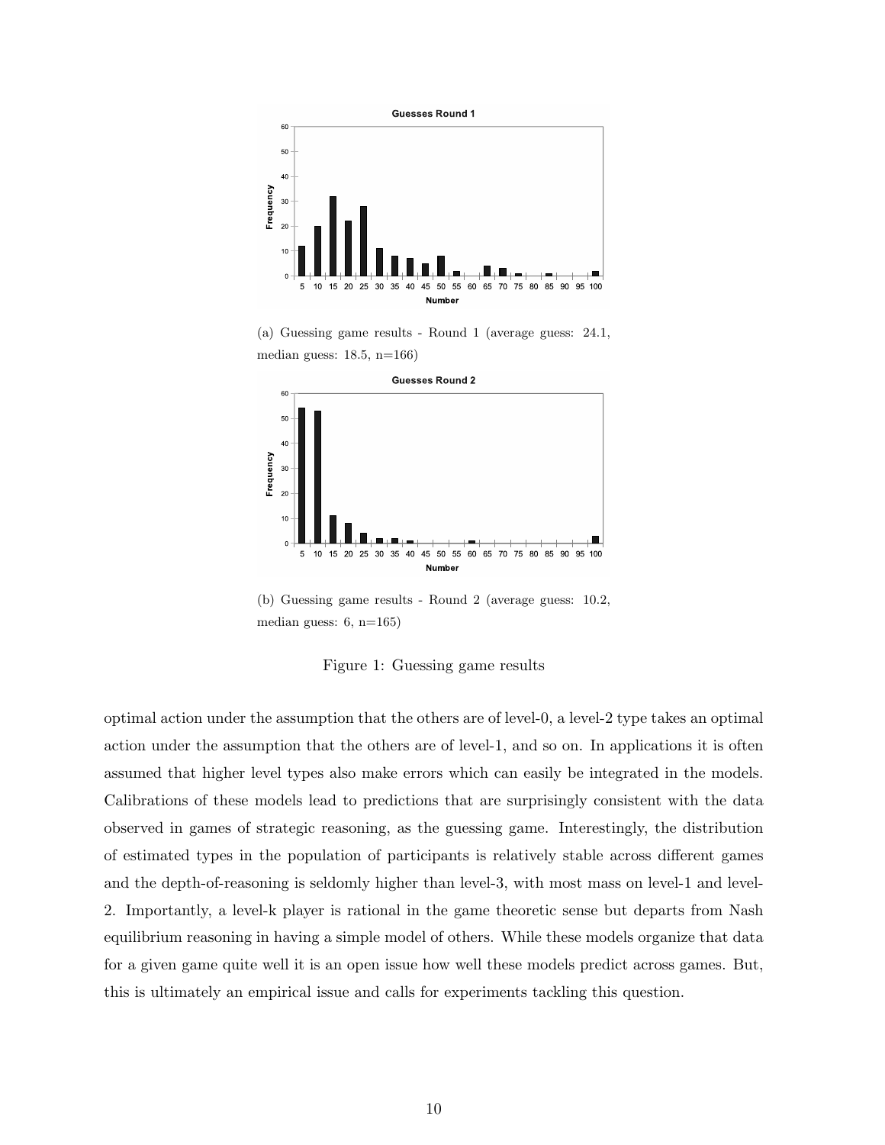<span id="page-12-0"></span>

(a) Guessing game results - Round 1 (average guess: 24.1, median guess:  $18.5$ , n=166)



<span id="page-12-1"></span>(b) Guessing game results - Round 2 (average guess: 10.2, median guess:  $6, n=165$ 

Figure 1: Guessing game results

optimal action under the assumption that the others are of level-0, a level-2 type takes an optimal action under the assumption that the others are of level-1, and so on. In applications it is often assumed that higher level types also make errors which can easily be integrated in the models. Calibrations of these models lead to predictions that are surprisingly consistent with the data observed in games of strategic reasoning, as the guessing game. Interestingly, the distribution of estimated types in the population of participants is relatively stable across different games and the depth-of-reasoning is seldomly higher than level-3, with most mass on level-1 and level-2. Importantly, a level-k player is rational in the game theoretic sense but departs from Nash equilibrium reasoning in having a simple model of others. While these models organize that data for a given game quite well it is an open issue how well these models predict across games. But, this is ultimately an empirical issue and calls for experiments tackling this question.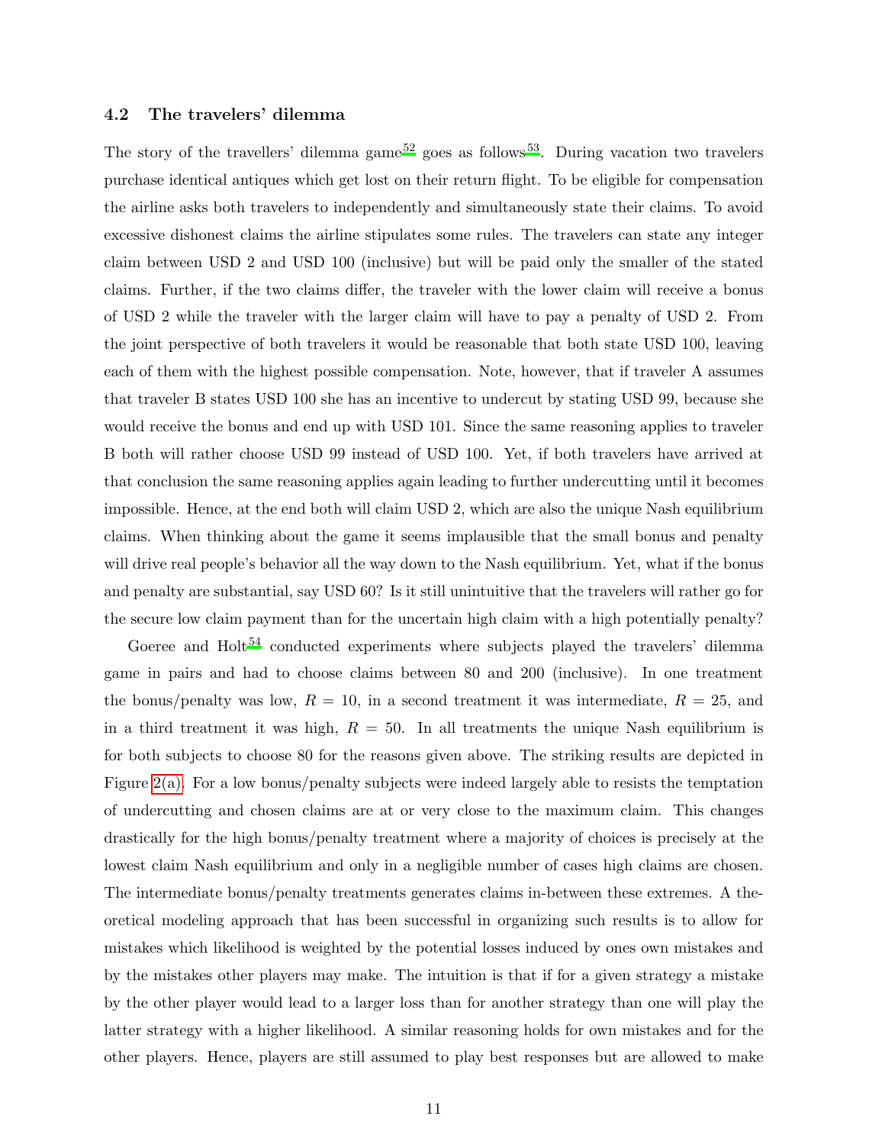## 4.2 The travelers' dilemma

The story of the travellers' dilemma game<sup>[52](#page-21-12)</sup> goes as follows<sup>[53](#page-21-13)</sup>. During vacation two travelers purchase identical antiques which get lost on their return flight. To be eligible for compensation the airline asks both travelers to independently and simultaneously state their claims. To avoid excessive dishonest claims the airline stipulates some rules. The travelers can state any integer claim between USD 2 and USD 100 (inclusive) but will be paid only the smaller of the stated claims. Further, if the two claims differ, the traveler with the lower claim will receive a bonus of USD 2 while the traveler with the larger claim will have to pay a penalty of USD 2. From the joint perspective of both travelers it would be reasonable that both state USD 100, leaving each of them with the highest possible compensation. Note, however, that if traveler A assumes that traveler B states USD 100 she has an incentive to undercut by stating USD 99, because she would receive the bonus and end up with USD 101. Since the same reasoning applies to traveler B both will rather choose USD 99 instead of USD 100. Yet, if both travelers have arrived at that conclusion the same reasoning applies again leading to further undercutting until it becomes impossible. Hence, at the end both will claim USD 2, which are also the unique Nash equilibrium claims. When thinking about the game it seems implausible that the small bonus and penalty will drive real people's behavior all the way down to the Nash equilibrium. Yet, what if the bonus and penalty are substantial, say USD 60? Is it still unintuitive that the travelers will rather go for the secure low claim payment than for the uncertain high claim with a high potentially penalty?

Goeree and  $Holt<sup>54</sup>$  $Holt<sup>54</sup>$  $Holt<sup>54</sup>$  conducted experiments where subjects played the travelers' dilemma game in pairs and had to choose claims between 80 and 200 (inclusive). In one treatment the bonus/penalty was low,  $R = 10$ , in a second treatment it was intermediate,  $R = 25$ , and in a third treatment it was high,  $R = 50$ . In all treatments the unique Nash equilibrium is for both subjects to choose 80 for the reasons given above. The striking results are depicted in Figure [2\(a\).](#page-14-0) For a low bonus/penalty subjects were indeed largely able to resists the temptation of undercutting and chosen claims are at or very close to the maximum claim. This changes drastically for the high bonus/penalty treatment where a majority of choices is precisely at the lowest claim Nash equilibrium and only in a negligible number of cases high claims are chosen. The intermediate bonus/penalty treatments generates claims in-between these extremes. A theoretical modeling approach that has been successful in organizing such results is to allow for mistakes which likelihood is weighted by the potential losses induced by ones own mistakes and by the mistakes other players may make. The intuition is that if for a given strategy a mistake by the other player would lead to a larger loss than for another strategy than one will play the latter strategy with a higher likelihood. A similar reasoning holds for own mistakes and for the other players. Hence, players are still assumed to play best responses but are allowed to make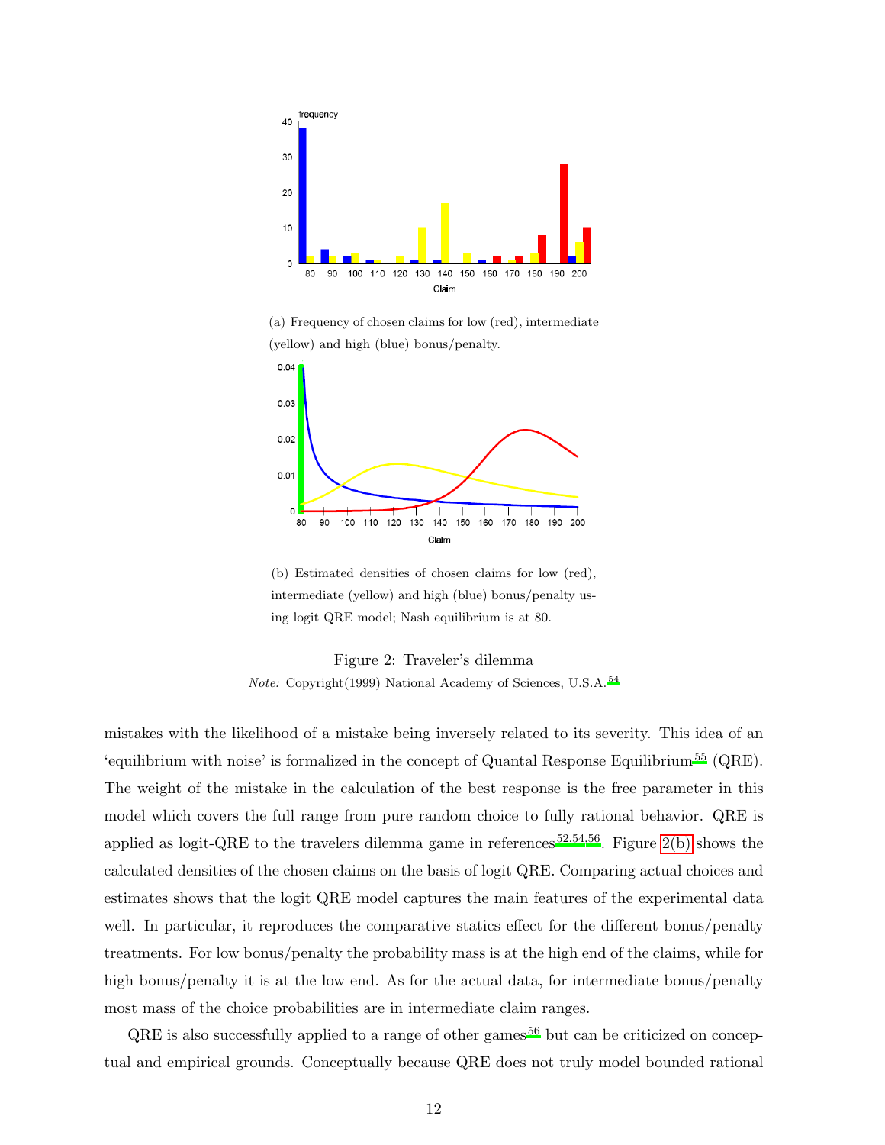<span id="page-14-0"></span>

(a) Frequency of chosen claims for low (red), intermediate (yellow) and high (blue) bonus/penalty.



<span id="page-14-1"></span>(b) Estimated densities of chosen claims for low (red), intermediate (yellow) and high (blue) bonus/penalty using logit QRE model; Nash equilibrium is at 80.

Figure 2: Traveler's dilemma Note: Copyright(1999) National Academy of Sciences, U.S.A[.](#page-22-0) <sup>54</sup>

mistakes with the likelihood of a mistake being inversely related to its severity. This idea of an 'equilibrium with noise' is formalized in the concept of Quantal Response Equilibrium<sup>[55](#page-22-1)</sup> (QRE). The weight of the mistake in the calculation of the best response is the free parameter in this model which covers the full range from pure random choice to fully rational behavior. QRE is applied as logit-QRE to the travelers dilemma game in references<sup>[52](#page-21-12)[,54](#page-22-0)[,56](#page-22-2)</sup>. Figure [2\(b\)](#page-14-1) shows the calculated densities of the chosen claims on the basis of logit QRE. Comparing actual choices and estimates shows that the logit QRE model captures the main features of the experimental data well. In particular, it reproduces the comparative statics effect for the different bonus/penalty treatments. For low bonus/penalty the probability mass is at the high end of the claims, while for high bonus/penalty it is at the low end. As for the actual data, for intermediate bonus/penalty most mass of the choice probabilities are in intermediate claim ranges.

 $QRE$  is also successfully applied to a range of other games<sup>[56](#page-22-2)</sup> but can be criticized on conceptual and empirical grounds. Conceptually because QRE does not truly model bounded rational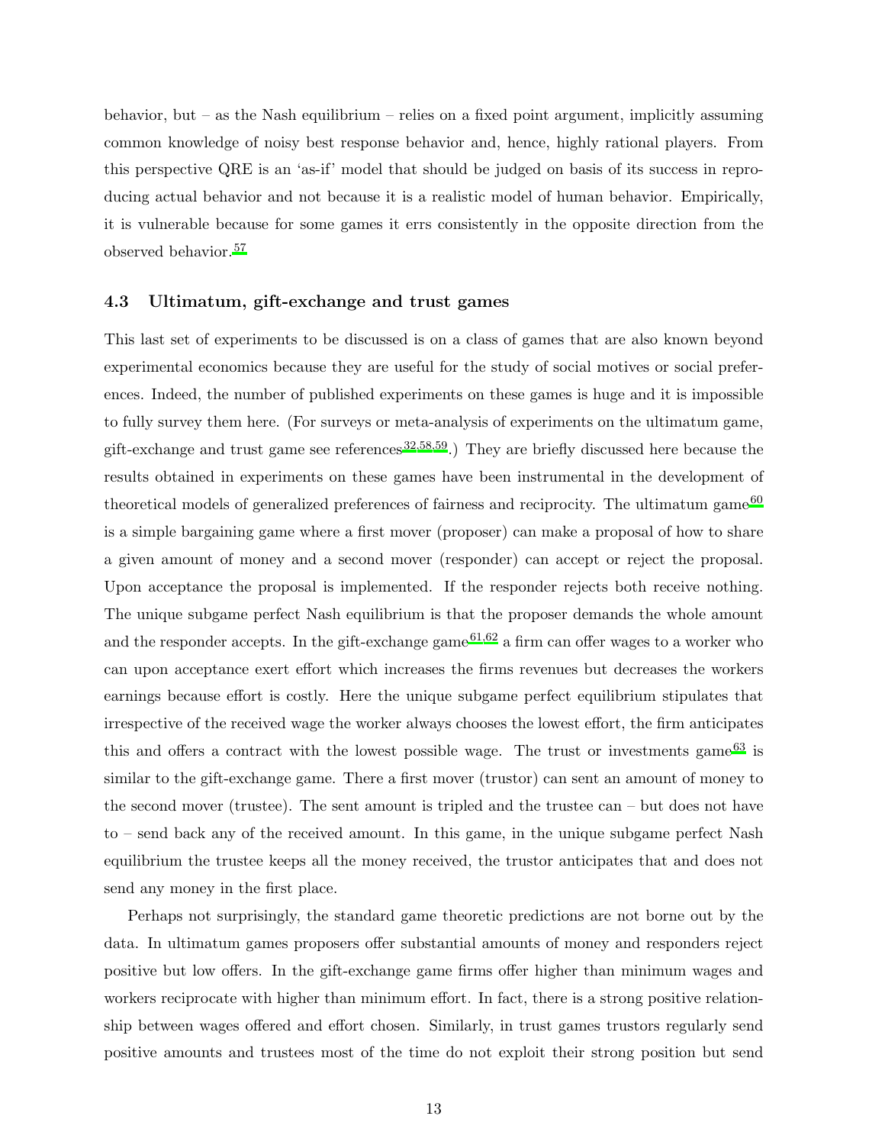behavior, but – as the Nash equilibrium – relies on a fixed point argument, implicitly assuming common knowledge of noisy best response behavior and, hence, highly rational players. From this perspective QRE is an 'as-if' model that should be judged on basis of its success in reproducing actual behavior and not because it is a realistic model of human behavior. Empirically, it is vulnerable because for some games it errs consistently in the opposite direction from the observed behavior.[57](#page-22-3)

## 4.3 Ultimatum, gift-exchange and trust games

This last set of experiments to be discussed is on a class of games that are also known beyond experimental economics because they are useful for the study of social motives or social preferences. Indeed, the number of published experiments on these games is huge and it is impossible to fully survey them here. (For surveys or meta-analysis of experiments on the ultimatum game, gift-exchange and trust game see references  $32,58,59$  $32,58,59$  $32,58,59$ .) They are briefly discussed here because the results obtained in experiments on these games have been instrumental in the development of theoretical models of generalized preferences of fairness and reciprocity. The ultimatum game  $60$ is a simple bargaining game where a first mover (proposer) can make a proposal of how to share a given amount of money and a second mover (responder) can accept or reject the proposal. Upon acceptance the proposal is implemented. If the responder rejects both receive nothing. The unique subgame perfect Nash equilibrium is that the proposer demands the whole amount and the responder accepts. In the gift-exchange game  $61,62$  $61,62$  a firm can offer wages to a worker who can upon acceptance exert effort which increases the firms revenues but decreases the workers earnings because effort is costly. Here the unique subgame perfect equilibrium stipulates that irrespective of the received wage the worker always chooses the lowest effort, the firm anticipates this and offers a contract with the lowest possible wage. The trust or investments game<sup>[63](#page-22-9)</sup> is similar to the gift-exchange game. There a first mover (trustor) can sent an amount of money to the second mover (trustee). The sent amount is tripled and the trustee can – but does not have to – send back any of the received amount. In this game, in the unique subgame perfect Nash equilibrium the trustee keeps all the money received, the trustor anticipates that and does not send any money in the first place.

Perhaps not surprisingly, the standard game theoretic predictions are not borne out by the data. In ultimatum games proposers offer substantial amounts of money and responders reject positive but low offers. In the gift-exchange game firms offer higher than minimum wages and workers reciprocate with higher than minimum effort. In fact, there is a strong positive relationship between wages offered and effort chosen. Similarly, in trust games trustors regularly send positive amounts and trustees most of the time do not exploit their strong position but send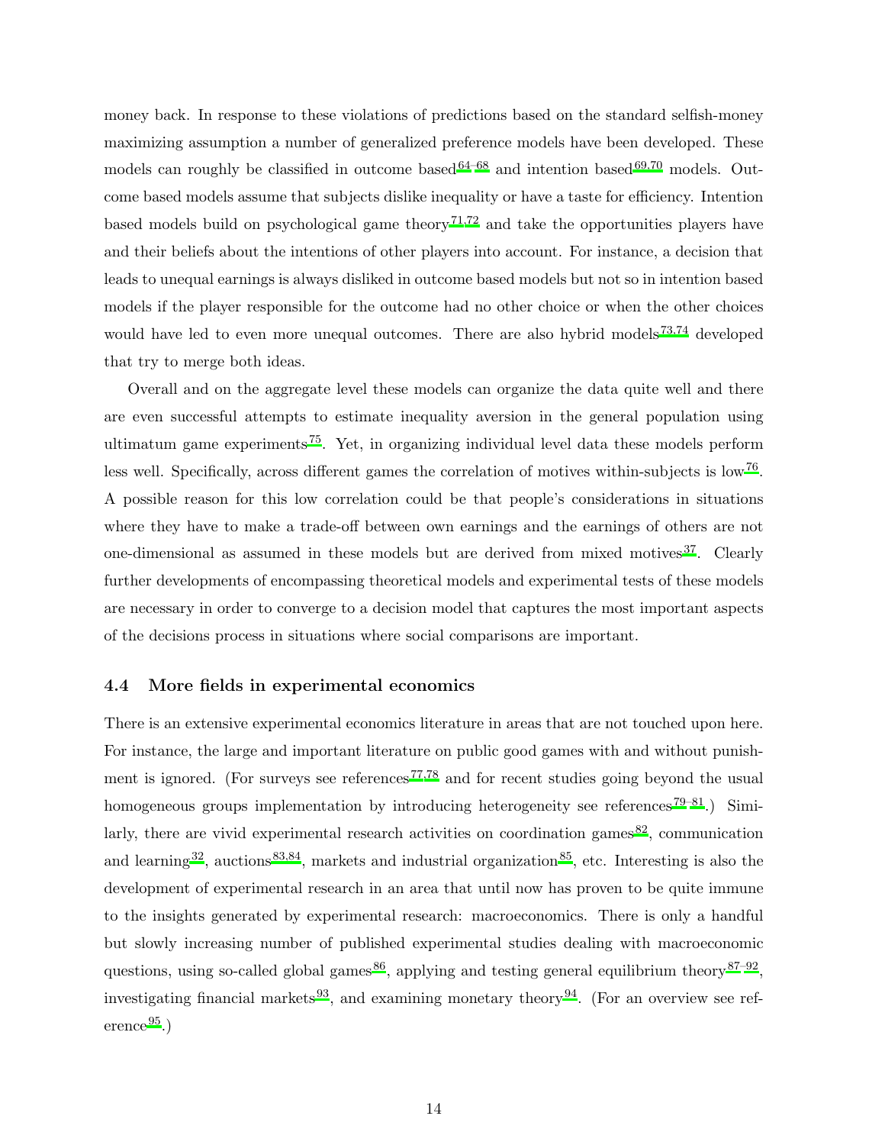money back. In response to these violations of predictions based on the standard selfish-money maximizing assumption a number of generalized preference models have been developed. These models can roughly be classified in outcome based  $64-68$  $64-68$  and intention based  $69,70$  $69,70$  models. Outcome based models assume that subjects dislike inequality or have a taste for efficiency. Intention based models build on psychological game theory<sup> $71,72$  $71,72$ </sup> and take the opportunities players have and their beliefs about the intentions of other players into account. For instance, a decision that leads to unequal earnings is always disliked in outcome based models but not so in intention based models if the player responsible for the outcome had no other choice or when the other choices would have led to even more unequal outcomes. There are also hybrid models<sup>[73](#page-23-5)[,74](#page-23-6)</sup> developed that try to merge both ideas.

Overall and on the aggregate level these models can organize the data quite well and there are even successful attempts to estimate inequality aversion in the general population using ultimatum game experiments<sup>[75](#page-23-7)</sup>. Yet, in organizing individual level data these models perform less well. Specifically, across different games the correlation of motives within-subjects is  $\text{low}^{76}$  $\text{low}^{76}$  $\text{low}^{76}$ . A possible reason for this low correlation could be that people's considerations in situations where they have to make a trade-off between own earnings and the earnings of others are not one-dimensional as assumed in these models but are derived from mixed motives  $37$ . Clearly further developments of encompassing theoretical models and experimental tests of these models are necessary in order to converge to a decision model that captures the most important aspects of the decisions process in situations where social comparisons are important.

### 4.4 More fields in experimental economics

There is an extensive experimental economics literature in areas that are not touched upon here. For instance, the large and important literature on public good games with and without punishment is ignored. (For surveys see references<sup> $77,78$  $77,78$ </sup> and for recent studies going beyond the usual homogeneous groups implementation by introducing heterogeneity see references<sup>[79](#page-23-11)[–81](#page-23-12)</sup>.) Simi-larly, there are vivid experimental research activities on coordination games<sup>[82](#page-24-0)</sup>, communication and learning<sup>[32](#page-20-5)</sup>, auctions<sup>[83](#page-24-1)[,84](#page-24-2)</sup>, markets and industrial organization<sup>[85](#page-24-3)</sup>, etc. Interesting is also the development of experimental research in an area that until now has proven to be quite immune to the insights generated by experimental research: macroeconomics. There is only a handful but slowly increasing number of published experimental studies dealing with macroeconomic questions, using so-called global games<sup>[86](#page-24-4)</sup>, applying and testing general equilibrium theory<sup>[87](#page-24-5)[–92](#page-24-6)</sup>, investigating financial markets<sup>[93](#page-24-7)</sup>, and examining monetary theory<sup>[94](#page-24-8)</sup>. (For an overview see ref- $erence <sup>95</sup>$  $erence <sup>95</sup>$  $erence <sup>95</sup>$ .)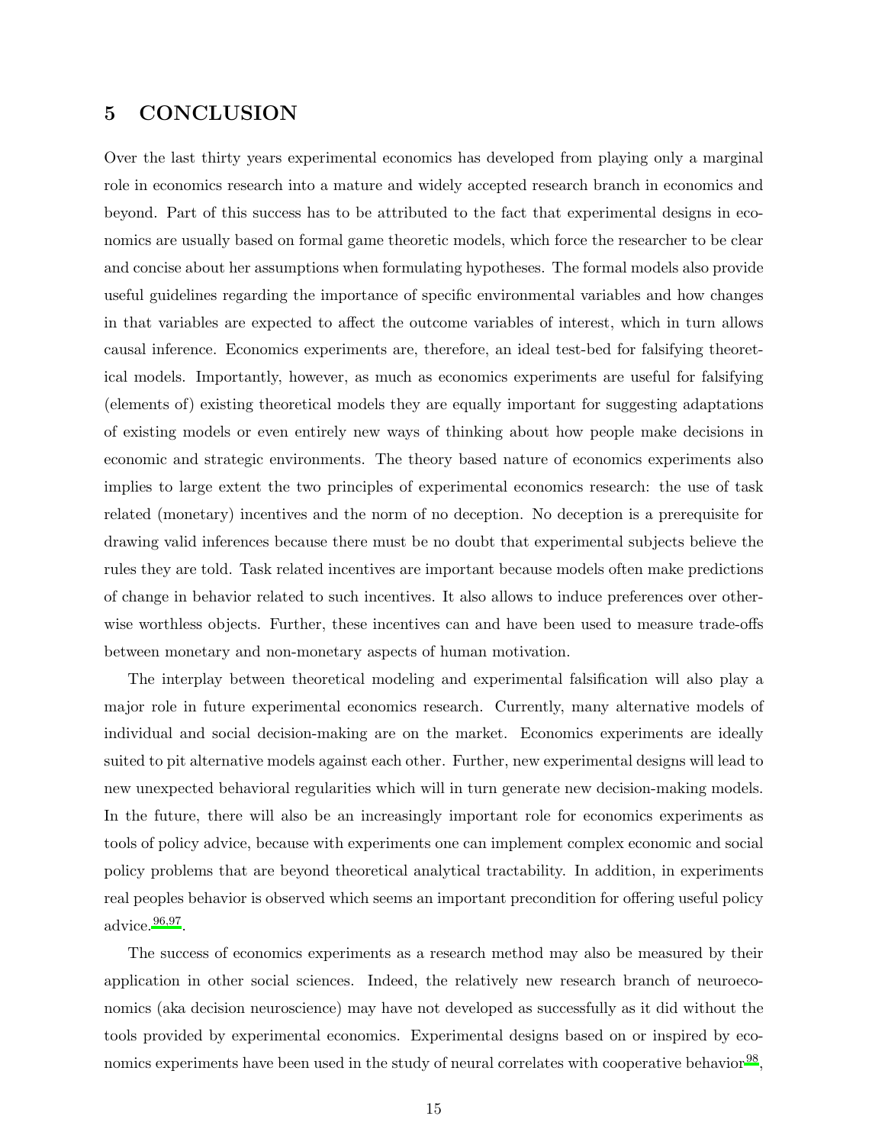## 5 CONCLUSION

Over the last thirty years experimental economics has developed from playing only a marginal role in economics research into a mature and widely accepted research branch in economics and beyond. Part of this success has to be attributed to the fact that experimental designs in economics are usually based on formal game theoretic models, which force the researcher to be clear and concise about her assumptions when formulating hypotheses. The formal models also provide useful guidelines regarding the importance of specific environmental variables and how changes in that variables are expected to affect the outcome variables of interest, which in turn allows causal inference. Economics experiments are, therefore, an ideal test-bed for falsifying theoretical models. Importantly, however, as much as economics experiments are useful for falsifying (elements of) existing theoretical models they are equally important for suggesting adaptations of existing models or even entirely new ways of thinking about how people make decisions in economic and strategic environments. The theory based nature of economics experiments also implies to large extent the two principles of experimental economics research: the use of task related (monetary) incentives and the norm of no deception. No deception is a prerequisite for drawing valid inferences because there must be no doubt that experimental subjects believe the rules they are told. Task related incentives are important because models often make predictions of change in behavior related to such incentives. It also allows to induce preferences over otherwise worthless objects. Further, these incentives can and have been used to measure trade-offs between monetary and non-monetary aspects of human motivation.

The interplay between theoretical modeling and experimental falsification will also play a major role in future experimental economics research. Currently, many alternative models of individual and social decision-making are on the market. Economics experiments are ideally suited to pit alternative models against each other. Further, new experimental designs will lead to new unexpected behavioral regularities which will in turn generate new decision-making models. In the future, there will also be an increasingly important role for economics experiments as tools of policy advice, because with experiments one can implement complex economic and social policy problems that are beyond theoretical analytical tractability. In addition, in experiments real peoples behavior is observed which seems an important precondition for offering useful policy advice. <sup>[96](#page-25-0)[,97](#page-25-1)</sup>.

The success of economics experiments as a research method may also be measured by their application in other social sciences. Indeed, the relatively new research branch of neuroeconomics (aka decision neuroscience) may have not developed as successfully as it did without the tools provided by experimental economics. Experimental designs based on or inspired by economics experiments have been used in the study of neural correlates with cooperative behavior  $^{98}$  $^{98}$  $^{98}$ ,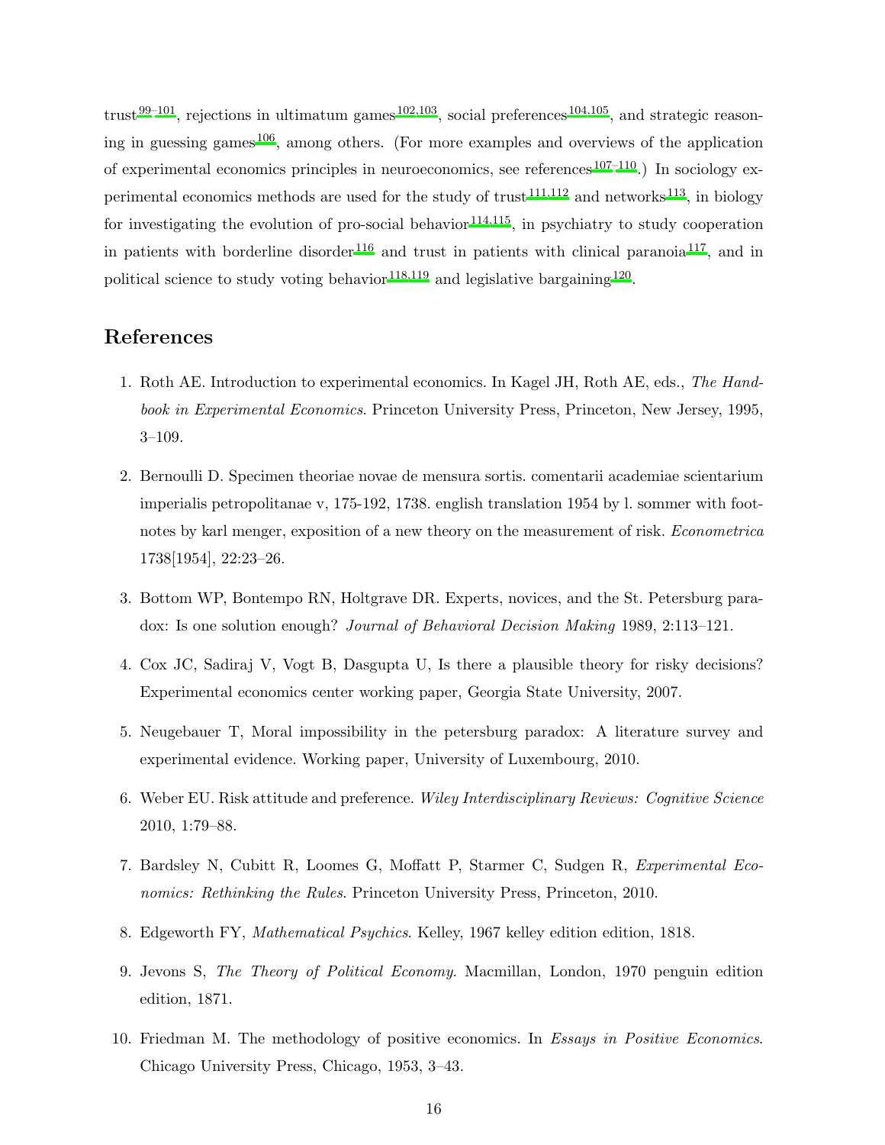trust<sup>[99](#page-25-3)[–101](#page-25-4)</sup>, rejections in ultimatum games<sup>[102](#page-25-5)[,103](#page-25-6)</sup>, social preferences<sup>[104](#page-25-7)[,105](#page-25-8)</sup>, and strategic reason-ing in guessing games<sup>[106](#page-25-9)</sup>, among others. (For more examples and overviews of the application of experimental economics principles in neuroeconomics, see references<sup>[107](#page-25-10)[–110](#page-26-0)</sup>.) In sociology ex-perimental economics methods are used for the study of trust<sup>[111](#page-26-1)[,112](#page-26-2)</sup> and networks<sup>[113](#page-26-3)</sup>, in biology for investigating the evolution of pro-social behavior  $(114,115)$  $(114,115)$  $(114,115)$  $(114,115)$ , in psychiatry to study cooperation in patients with borderline disorder<sup>[116](#page-26-6)</sup> and trust in patients with clinical paranoia<sup>[117](#page-26-7)</sup>, and in political science to study voting behavior  $118,119$  $118,119$  and legislative bargaining  $120$ .

## References

- <span id="page-18-0"></span>1. Roth AE. Introduction to experimental economics. In Kagel JH, Roth AE, eds., *The Handbook in Experimental Economics*. Princeton University Press, Princeton, New Jersey, 1995, 3–109.
- <span id="page-18-1"></span>2. Bernoulli D. Specimen theoriae novae de mensura sortis. comentarii academiae scientarium imperialis petropolitanae v, 175-192, 1738. english translation 1954 by l. sommer with footnotes by karl menger, exposition of a new theory on the measurement of risk. *Econometrica* 1738[1954], 22:23–26.
- <span id="page-18-2"></span>3. Bottom WP, Bontempo RN, Holtgrave DR. Experts, novices, and the St. Petersburg paradox: Is one solution enough? *Journal of Behavioral Decision Making* 1989, 2:113–121.
- 4. Cox JC, Sadiraj V, Vogt B, Dasgupta U, Is there a plausible theory for risky decisions? Experimental economics center working paper, Georgia State University, 2007.
- <span id="page-18-3"></span>5. Neugebauer T, Moral impossibility in the petersburg paradox: A literature survey and experimental evidence. Working paper, University of Luxembourg, 2010.
- <span id="page-18-4"></span>6. Weber EU. Risk attitude and preference. *Wiley Interdisciplinary Reviews: Cognitive Science* 2010, 1:79–88.
- <span id="page-18-5"></span>7. Bardsley N, Cubitt R, Loomes G, Moffatt P, Starmer C, Sudgen R, *Experimental Economics: Rethinking the Rules*. Princeton University Press, Princeton, 2010.
- <span id="page-18-6"></span>8. Edgeworth FY, *Mathematical Psychics*. Kelley, 1967 kelley edition edition, 1818.
- <span id="page-18-7"></span>9. Jevons S, *The Theory of Political Economy*. Macmillan, London, 1970 penguin edition edition, 1871.
- <span id="page-18-8"></span>10. Friedman M. The methodology of positive economics. In *Essays in Positive Economics*. Chicago University Press, Chicago, 1953, 3–43.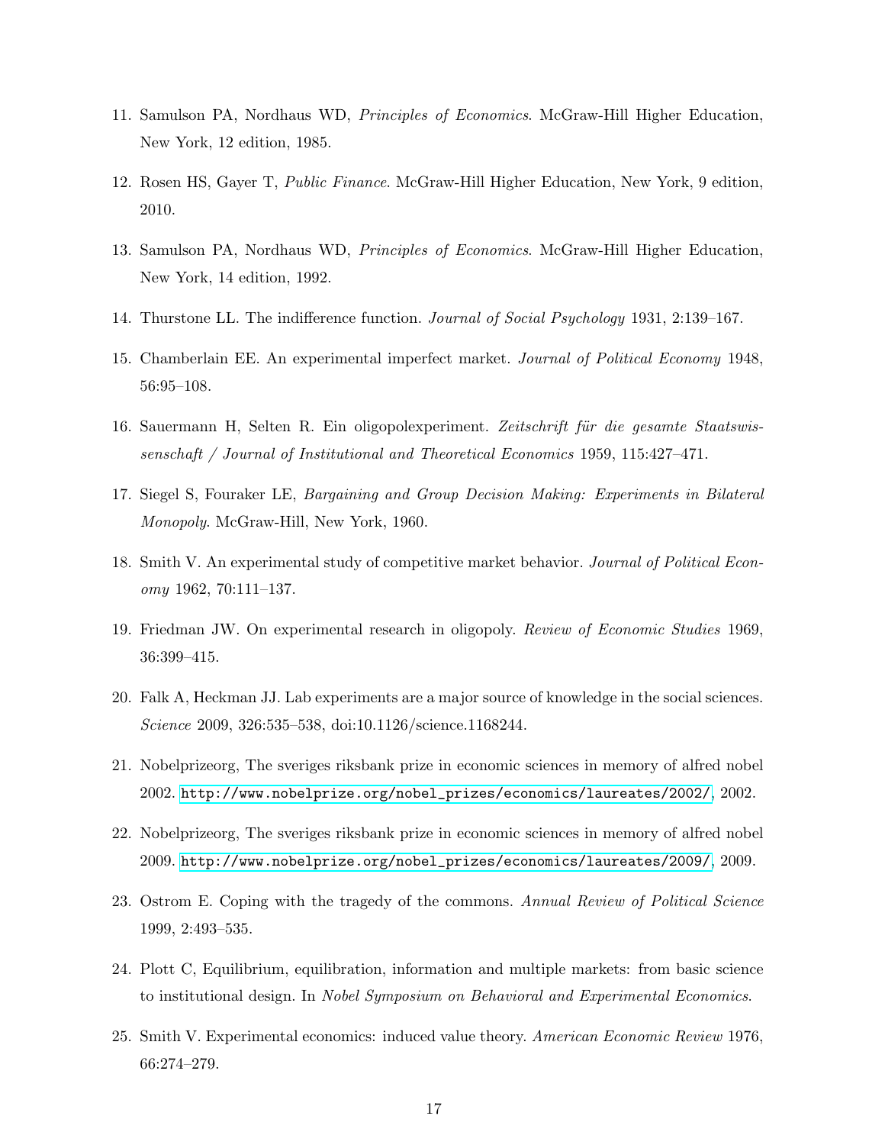- <span id="page-19-0"></span>11. Samulson PA, Nordhaus WD, *Principles of Economics*. McGraw-Hill Higher Education, New York, 12 edition, 1985.
- <span id="page-19-1"></span>12. Rosen HS, Gayer T, *Public Finance*. McGraw-Hill Higher Education, New York, 9 edition, 2010.
- <span id="page-19-2"></span>13. Samulson PA, Nordhaus WD, *Principles of Economics*. McGraw-Hill Higher Education, New York, 14 edition, 1992.
- <span id="page-19-3"></span>14. Thurstone LL. The indifference function. *Journal of Social Psychology* 1931, 2:139–167.
- <span id="page-19-4"></span>15. Chamberlain EE. An experimental imperfect market. *Journal of Political Economy* 1948, 56:95–108.
- <span id="page-19-5"></span>16. Sauermann H, Selten R. Ein oligopolexperiment. *Zeitschrift für die gesamte Staatswissenschaft / Journal of Institutional and Theoretical Economics* 1959, 115:427–471.
- 17. Siegel S, Fouraker LE, *Bargaining and Group Decision Making: Experiments in Bilateral Monopoly*. McGraw-Hill, New York, 1960.
- 18. Smith V. An experimental study of competitive market behavior. *Journal of Political Economy* 1962, 70:111–137.
- <span id="page-19-6"></span>19. Friedman JW. On experimental research in oligopoly. *Review of Economic Studies* 1969, 36:399–415.
- <span id="page-19-7"></span>20. Falk A, Heckman JJ. Lab experiments are a major source of knowledge in the social sciences. *Science* 2009, 326:535–538, doi:10.1126/science.1168244.
- <span id="page-19-8"></span>21. Nobelprizeorg, The sveriges riksbank prize in economic sciences in memory of alfred nobel 2002. [http://www.nobelprize.org/nobel\\_prizes/economics/laureates/2002/](http://www.nobelprize.org/nobel_prizes/economics/laureates/2002/), 2002.
- <span id="page-19-9"></span>22. Nobelprizeorg, The sveriges riksbank prize in economic sciences in memory of alfred nobel 2009. [http://www.nobelprize.org/nobel\\_prizes/economics/laureates/2009/](http://www.nobelprize.org/nobel_prizes/economics/laureates/2009/), 2009.
- <span id="page-19-10"></span>23. Ostrom E. Coping with the tragedy of the commons. *Annual Review of Political Science* 1999, 2:493–535.
- <span id="page-19-11"></span>24. Plott C, Equilibrium, equilibration, information and multiple markets: from basic science to institutional design. In *Nobel Symposium on Behavioral and Experimental Economics*.
- <span id="page-19-12"></span>25. Smith V. Experimental economics: induced value theory. *American Economic Review* 1976, 66:274–279.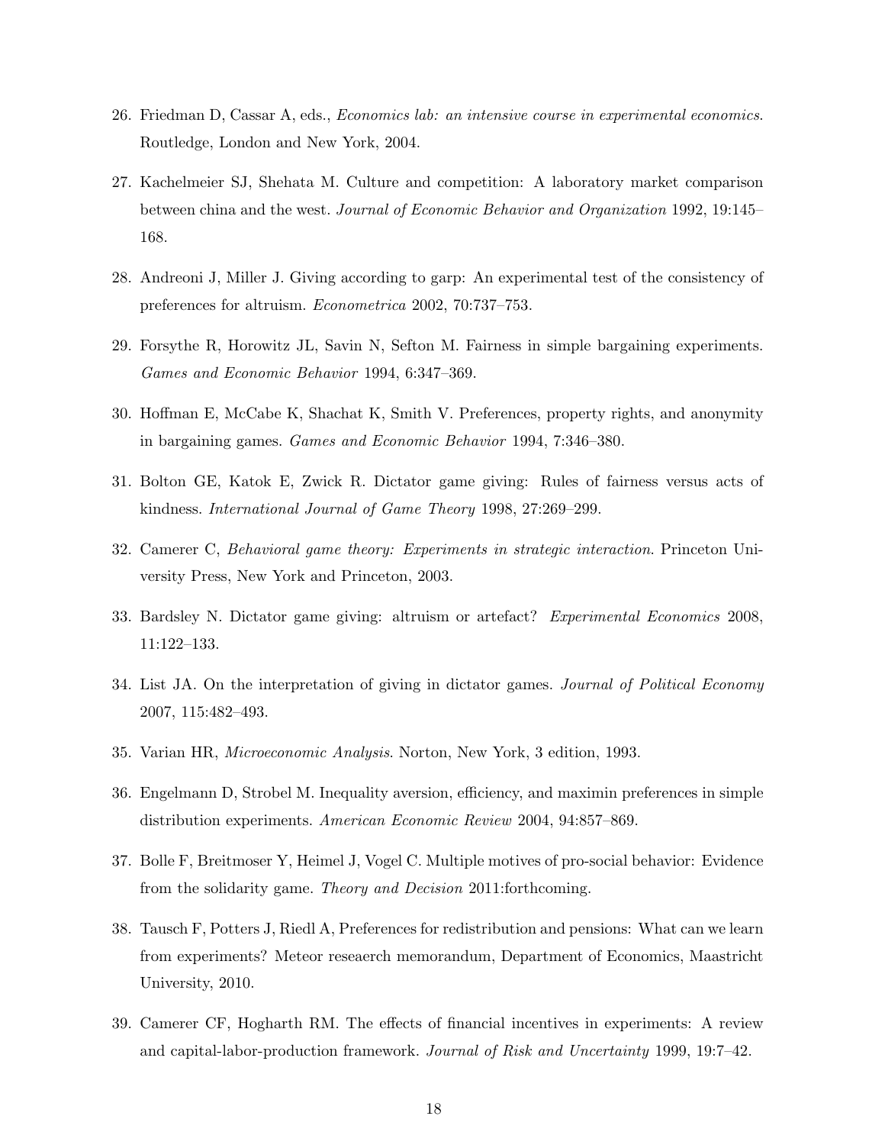- <span id="page-20-0"></span>26. Friedman D, Cassar A, eds., *Economics lab: an intensive course in experimental economics*. Routledge, London and New York, 2004.
- <span id="page-20-1"></span>27. Kachelmeier SJ, Shehata M. Culture and competition: A laboratory market comparison between china and the west. *Journal of Economic Behavior and Organization* 1992, 19:145– 168.
- <span id="page-20-2"></span>28. Andreoni J, Miller J. Giving according to garp: An experimental test of the consistency of preferences for altruism. *Econometrica* 2002, 70:737–753.
- <span id="page-20-3"></span>29. Forsythe R, Horowitz JL, Savin N, Sefton M. Fairness in simple bargaining experiments. *Games and Economic Behavior* 1994, 6:347–369.
- 30. Hoffman E, McCabe K, Shachat K, Smith V. Preferences, property rights, and anonymity in bargaining games. *Games and Economic Behavior* 1994, 7:346–380.
- <span id="page-20-4"></span>31. Bolton GE, Katok E, Zwick R. Dictator game giving: Rules of fairness versus acts of kindness. *International Journal of Game Theory* 1998, 27:269–299.
- <span id="page-20-5"></span>32. Camerer C, *Behavioral game theory: Experiments in strategic interaction*. Princeton University Press, New York and Princeton, 2003.
- <span id="page-20-6"></span>33. Bardsley N. Dictator game giving: altruism or artefact? *Experimental Economics* 2008, 11:122–133.
- <span id="page-20-7"></span>34. List JA. On the interpretation of giving in dictator games. *Journal of Political Economy* 2007, 115:482–493.
- <span id="page-20-8"></span>35. Varian HR, *Microeconomic Analysis*. Norton, New York, 3 edition, 1993.
- <span id="page-20-9"></span>36. Engelmann D, Strobel M. Inequality aversion, efficiency, and maximin preferences in simple distribution experiments. *American Economic Review* 2004, 94:857–869.
- <span id="page-20-10"></span>37. Bolle F, Breitmoser Y, Heimel J, Vogel C. Multiple motives of pro-social behavior: Evidence from the solidarity game. *Theory and Decision* 2011:forthcoming.
- <span id="page-20-11"></span>38. Tausch F, Potters J, Riedl A, Preferences for redistribution and pensions: What can we learn from experiments? Meteor reseaerch memorandum, Department of Economics, Maastricht University, 2010.
- <span id="page-20-12"></span>39. Camerer CF, Hogharth RM. The effects of financial incentives in experiments: A review and capital-labor-production framework. *Journal of Risk and Uncertainty* 1999, 19:7–42.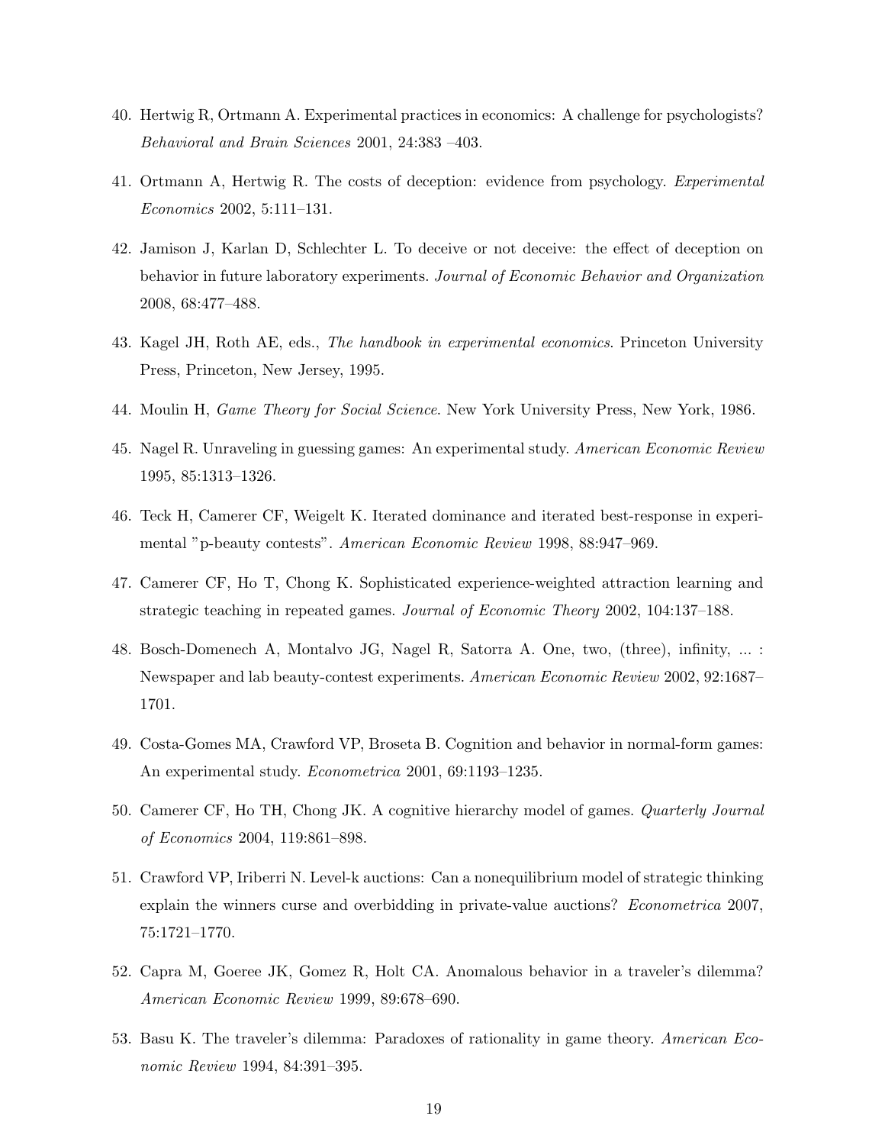- <span id="page-21-0"></span>40. Hertwig R, Ortmann A. Experimental practices in economics: A challenge for psychologists? *Behavioral and Brain Sciences* 2001, 24:383 –403.
- <span id="page-21-1"></span>41. Ortmann A, Hertwig R. The costs of deception: evidence from psychology. *Experimental Economics* 2002, 5:111–131.
- <span id="page-21-2"></span>42. Jamison J, Karlan D, Schlechter L. To deceive or not deceive: the effect of deception on behavior in future laboratory experiments. *Journal of Economic Behavior and Organization* 2008, 68:477–488.
- <span id="page-21-3"></span>43. Kagel JH, Roth AE, eds., *The handbook in experimental economics*. Princeton University Press, Princeton, New Jersey, 1995.
- <span id="page-21-4"></span>44. Moulin H, *Game Theory for Social Science*. New York University Press, New York, 1986.
- <span id="page-21-5"></span>45. Nagel R. Unraveling in guessing games: An experimental study. *American Economic Review* 1995, 85:1313–1326.
- <span id="page-21-6"></span>46. Teck H, Camerer CF, Weigelt K. Iterated dominance and iterated best-response in experimental "p-beauty contests". *American Economic Review* 1998, 88:947–969.
- <span id="page-21-7"></span>47. Camerer CF, Ho T, Chong K. Sophisticated experience-weighted attraction learning and strategic teaching in repeated games. *Journal of Economic Theory* 2002, 104:137–188.
- <span id="page-21-8"></span>48. Bosch-Domenech A, Montalvo JG, Nagel R, Satorra A. One, two, (three), infinity, ... : Newspaper and lab beauty-contest experiments. *American Economic Review* 2002, 92:1687– 1701.
- <span id="page-21-9"></span>49. Costa-Gomes MA, Crawford VP, Broseta B. Cognition and behavior in normal-form games: An experimental study. *Econometrica* 2001, 69:1193–1235.
- <span id="page-21-10"></span>50. Camerer CF, Ho TH, Chong JK. A cognitive hierarchy model of games. *Quarterly Journal of Economics* 2004, 119:861–898.
- <span id="page-21-11"></span>51. Crawford VP, Iriberri N. Level-k auctions: Can a nonequilibrium model of strategic thinking explain the winners curse and overbidding in private-value auctions? *Econometrica* 2007, 75:1721–1770.
- <span id="page-21-12"></span>52. Capra M, Goeree JK, Gomez R, Holt CA. Anomalous behavior in a traveler's dilemma? *American Economic Review* 1999, 89:678–690.
- <span id="page-21-13"></span>53. Basu K. The traveler's dilemma: Paradoxes of rationality in game theory. *American Economic Review* 1994, 84:391–395.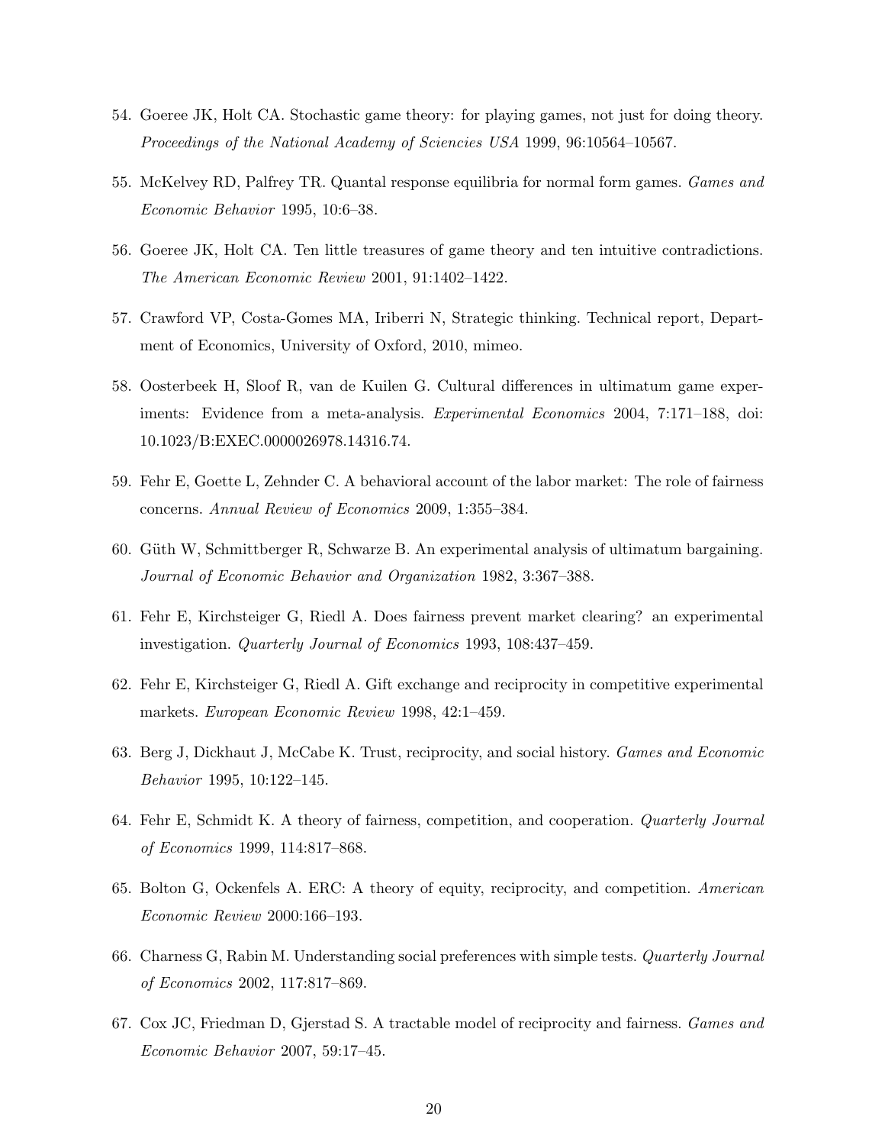- <span id="page-22-0"></span>54. Goeree JK, Holt CA. Stochastic game theory: for playing games, not just for doing theory. *Proceedings of the National Academy of Sciencies USA* 1999, 96:10564–10567.
- <span id="page-22-1"></span>55. McKelvey RD, Palfrey TR. Quantal response equilibria for normal form games. *Games and Economic Behavior* 1995, 10:6–38.
- <span id="page-22-2"></span>56. Goeree JK, Holt CA. Ten little treasures of game theory and ten intuitive contradictions. *The American Economic Review* 2001, 91:1402–1422.
- <span id="page-22-3"></span>57. Crawford VP, Costa-Gomes MA, Iriberri N, Strategic thinking. Technical report, Department of Economics, University of Oxford, 2010, mimeo.
- <span id="page-22-4"></span>58. Oosterbeek H, Sloof R, van de Kuilen G. Cultural differences in ultimatum game experiments: Evidence from a meta-analysis. *Experimental Economics* 2004, 7:171–188, doi: 10.1023/B:EXEC.0000026978.14316.74.
- <span id="page-22-5"></span>59. Fehr E, Goette L, Zehnder C. A behavioral account of the labor market: The role of fairness concerns. *Annual Review of Economics* 2009, 1:355–384.
- <span id="page-22-6"></span>60. Güth W, Schmittberger R, Schwarze B. An experimental analysis of ultimatum bargaining. *Journal of Economic Behavior and Organization* 1982, 3:367–388.
- <span id="page-22-7"></span>61. Fehr E, Kirchsteiger G, Riedl A. Does fairness prevent market clearing? an experimental investigation. *Quarterly Journal of Economics* 1993, 108:437–459.
- <span id="page-22-8"></span>62. Fehr E, Kirchsteiger G, Riedl A. Gift exchange and reciprocity in competitive experimental markets. *European Economic Review* 1998, 42:1–459.
- <span id="page-22-9"></span>63. Berg J, Dickhaut J, McCabe K. Trust, reciprocity, and social history. *Games and Economic Behavior* 1995, 10:122–145.
- <span id="page-22-10"></span>64. Fehr E, Schmidt K. A theory of fairness, competition, and cooperation. *Quarterly Journal of Economics* 1999, 114:817–868.
- 65. Bolton G, Ockenfels A. ERC: A theory of equity, reciprocity, and competition. *American Economic Review* 2000:166–193.
- 66. Charness G, Rabin M. Understanding social preferences with simple tests. *Quarterly Journal of Economics* 2002, 117:817–869.
- 67. Cox JC, Friedman D, Gjerstad S. A tractable model of reciprocity and fairness. *Games and Economic Behavior* 2007, 59:17–45.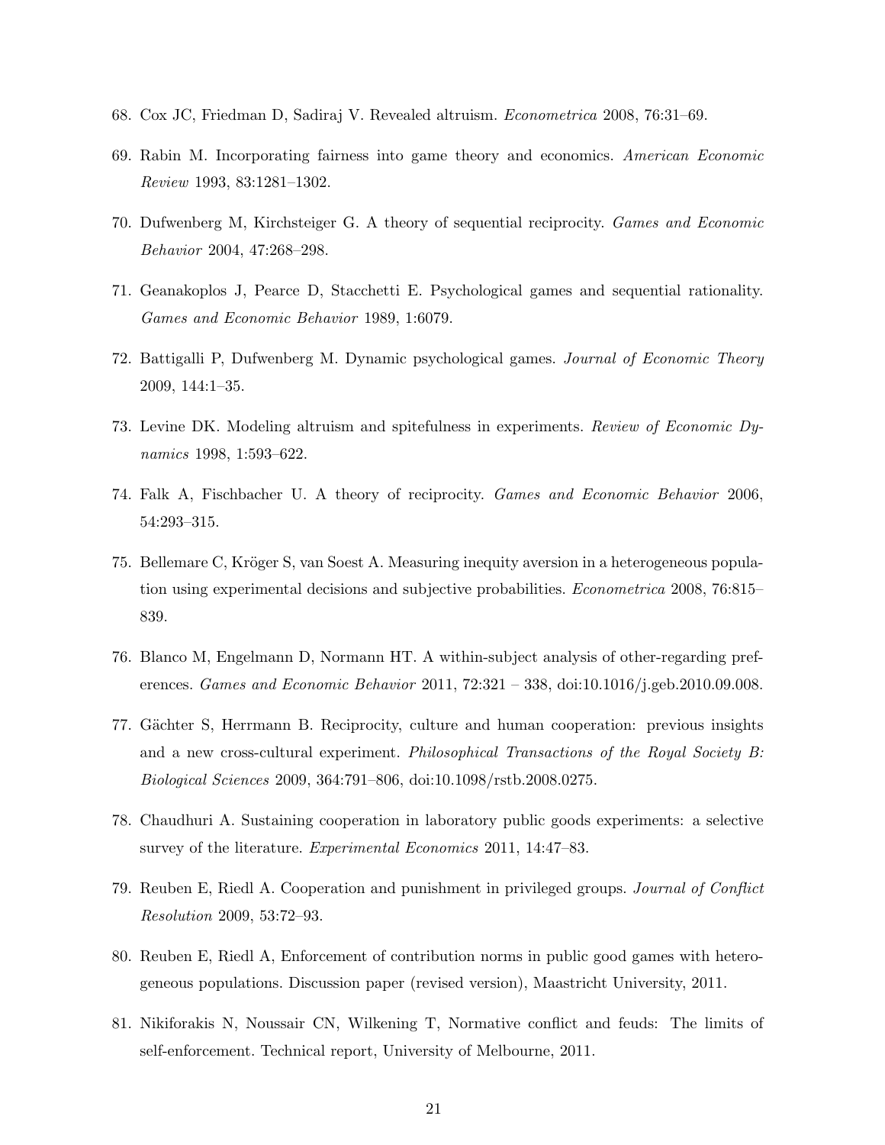- <span id="page-23-0"></span>68. Cox JC, Friedman D, Sadiraj V. Revealed altruism. *Econometrica* 2008, 76:31–69.
- <span id="page-23-1"></span>69. Rabin M. Incorporating fairness into game theory and economics. *American Economic Review* 1993, 83:1281–1302.
- <span id="page-23-2"></span>70. Dufwenberg M, Kirchsteiger G. A theory of sequential reciprocity. *Games and Economic Behavior* 2004, 47:268–298.
- <span id="page-23-3"></span>71. Geanakoplos J, Pearce D, Stacchetti E. Psychological games and sequential rationality. *Games and Economic Behavior* 1989, 1:6079.
- <span id="page-23-4"></span>72. Battigalli P, Dufwenberg M. Dynamic psychological games. *Journal of Economic Theory* 2009, 144:1–35.
- <span id="page-23-5"></span>73. Levine DK. Modeling altruism and spitefulness in experiments. *Review of Economic Dynamics* 1998, 1:593–622.
- <span id="page-23-6"></span>74. Falk A, Fischbacher U. A theory of reciprocity. *Games and Economic Behavior* 2006, 54:293–315.
- <span id="page-23-7"></span>75. Bellemare C, Kröger S, van Soest A. Measuring inequity aversion in a heterogeneous population using experimental decisions and subjective probabilities. *Econometrica* 2008, 76:815– 839.
- <span id="page-23-8"></span>76. Blanco M, Engelmann D, Normann HT. A within-subject analysis of other-regarding preferences. *Games and Economic Behavior* 2011, 72:321 – 338, doi:10.1016/j.geb.2010.09.008.
- <span id="page-23-9"></span>77. Gächter S, Herrmann B. Reciprocity, culture and human cooperation: previous insights and a new cross-cultural experiment. *Philosophical Transactions of the Royal Society B: Biological Sciences* 2009, 364:791–806, doi:10.1098/rstb.2008.0275.
- <span id="page-23-10"></span>78. Chaudhuri A. Sustaining cooperation in laboratory public goods experiments: a selective survey of the literature. *Experimental Economics* 2011, 14:47–83.
- <span id="page-23-11"></span>79. Reuben E, Riedl A. Cooperation and punishment in privileged groups. *Journal of Conflict Resolution* 2009, 53:72–93.
- 80. Reuben E, Riedl A, Enforcement of contribution norms in public good games with heterogeneous populations. Discussion paper (revised version), Maastricht University, 2011.
- <span id="page-23-12"></span>81. Nikiforakis N, Noussair CN, Wilkening T, Normative conflict and feuds: The limits of self-enforcement. Technical report, University of Melbourne, 2011.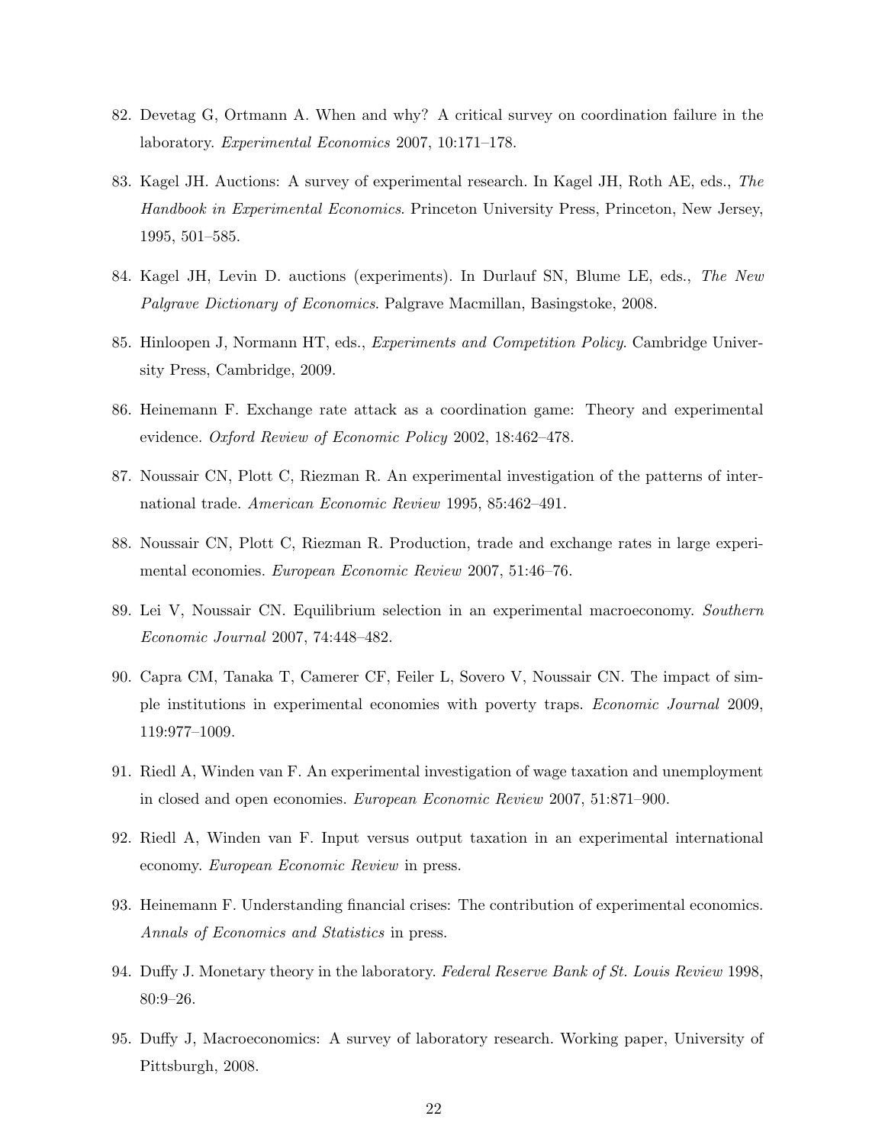- <span id="page-24-0"></span>82. Devetag G, Ortmann A. When and why? A critical survey on coordination failure in the laboratory. *Experimental Economics* 2007, 10:171–178.
- <span id="page-24-1"></span>83. Kagel JH. Auctions: A survey of experimental research. In Kagel JH, Roth AE, eds., *The Handbook in Experimental Economics*. Princeton University Press, Princeton, New Jersey, 1995, 501–585.
- <span id="page-24-2"></span>84. Kagel JH, Levin D. auctions (experiments). In Durlauf SN, Blume LE, eds., *The New Palgrave Dictionary of Economics*. Palgrave Macmillan, Basingstoke, 2008.
- <span id="page-24-3"></span>85. Hinloopen J, Normann HT, eds., *Experiments and Competition Policy*. Cambridge University Press, Cambridge, 2009.
- <span id="page-24-4"></span>86. Heinemann F. Exchange rate attack as a coordination game: Theory and experimental evidence. *Oxford Review of Economic Policy* 2002, 18:462–478.
- <span id="page-24-5"></span>87. Noussair CN, Plott C, Riezman R. An experimental investigation of the patterns of international trade. *American Economic Review* 1995, 85:462–491.
- 88. Noussair CN, Plott C, Riezman R. Production, trade and exchange rates in large experimental economies. *European Economic Review* 2007, 51:46–76.
- 89. Lei V, Noussair CN. Equilibrium selection in an experimental macroeconomy. *Southern Economic Journal* 2007, 74:448–482.
- 90. Capra CM, Tanaka T, Camerer CF, Feiler L, Sovero V, Noussair CN. The impact of simple institutions in experimental economies with poverty traps. *Economic Journal* 2009, 119:977–1009.
- 91. Riedl A, Winden van F. An experimental investigation of wage taxation and unemployment in closed and open economies. *European Economic Review* 2007, 51:871–900.
- <span id="page-24-6"></span>92. Riedl A, Winden van F. Input versus output taxation in an experimental international economy. *European Economic Review* in press.
- <span id="page-24-7"></span>93. Heinemann F. Understanding financial crises: The contribution of experimental economics. *Annals of Economics and Statistics* in press.
- <span id="page-24-8"></span>94. Duffy J. Monetary theory in the laboratory. *Federal Reserve Bank of St. Louis Review* 1998, 80:9–26.
- <span id="page-24-9"></span>95. Duffy J, Macroeconomics: A survey of laboratory research. Working paper, University of Pittsburgh, 2008.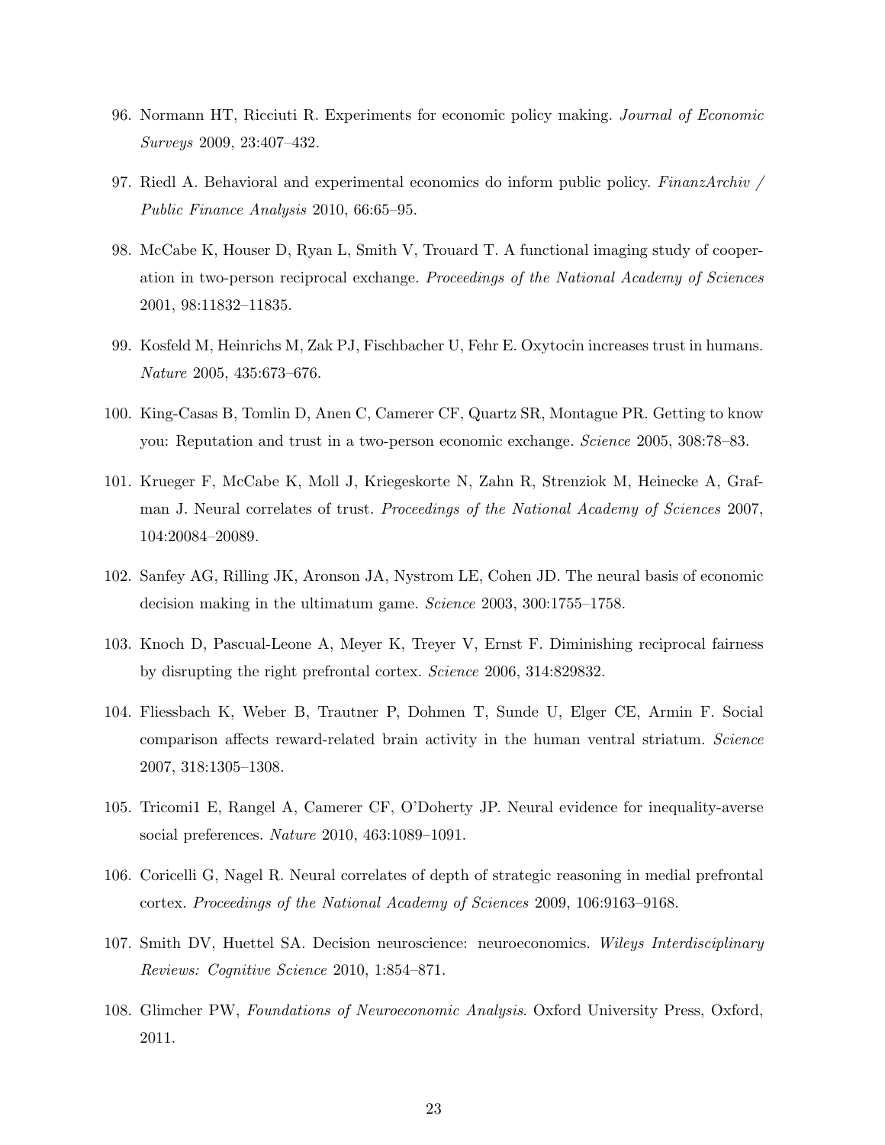- <span id="page-25-0"></span>96. Normann HT, Ricciuti R. Experiments for economic policy making. *Journal of Economic Surveys* 2009, 23:407–432.
- <span id="page-25-1"></span>97. Riedl A. Behavioral and experimental economics do inform public policy. *FinanzArchiv / Public Finance Analysis* 2010, 66:65–95.
- <span id="page-25-2"></span>98. McCabe K, Houser D, Ryan L, Smith V, Trouard T. A functional imaging study of cooperation in two-person reciprocal exchange. *Proceedings of the National Academy of Sciences* 2001, 98:11832–11835.
- <span id="page-25-3"></span>99. Kosfeld M, Heinrichs M, Zak PJ, Fischbacher U, Fehr E. Oxytocin increases trust in humans. *Nature* 2005, 435:673–676.
- 100. King-Casas B, Tomlin D, Anen C, Camerer CF, Quartz SR, Montague PR. Getting to know you: Reputation and trust in a two-person economic exchange. *Science* 2005, 308:78–83.
- <span id="page-25-4"></span>101. Krueger F, McCabe K, Moll J, Kriegeskorte N, Zahn R, Strenziok M, Heinecke A, Grafman J. Neural correlates of trust. *Proceedings of the National Academy of Sciences* 2007, 104:20084–20089.
- <span id="page-25-5"></span>102. Sanfey AG, Rilling JK, Aronson JA, Nystrom LE, Cohen JD. The neural basis of economic decision making in the ultimatum game. *Science* 2003, 300:1755–1758.
- <span id="page-25-6"></span>103. Knoch D, Pascual-Leone A, Meyer K, Treyer V, Ernst F. Diminishing reciprocal fairness by disrupting the right prefrontal cortex. *Science* 2006, 314:829832.
- <span id="page-25-7"></span>104. Fliessbach K, Weber B, Trautner P, Dohmen T, Sunde U, Elger CE, Armin F. Social comparison affects reward-related brain activity in the human ventral striatum. *Science* 2007, 318:1305–1308.
- <span id="page-25-8"></span>105. Tricomi1 E, Rangel A, Camerer CF, O'Doherty JP. Neural evidence for inequality-averse social preferences. *Nature* 2010, 463:1089–1091.
- <span id="page-25-9"></span>106. Coricelli G, Nagel R. Neural correlates of depth of strategic reasoning in medial prefrontal cortex. *Proceedings of the National Academy of Sciences* 2009, 106:9163–9168.
- <span id="page-25-10"></span>107. Smith DV, Huettel SA. Decision neuroscience: neuroeconomics. *Wileys Interdisciplinary Reviews: Cognitive Science* 2010, 1:854–871.
- 108. Glimcher PW, *Foundations of Neuroeconomic Analysis*. Oxford University Press, Oxford, 2011.